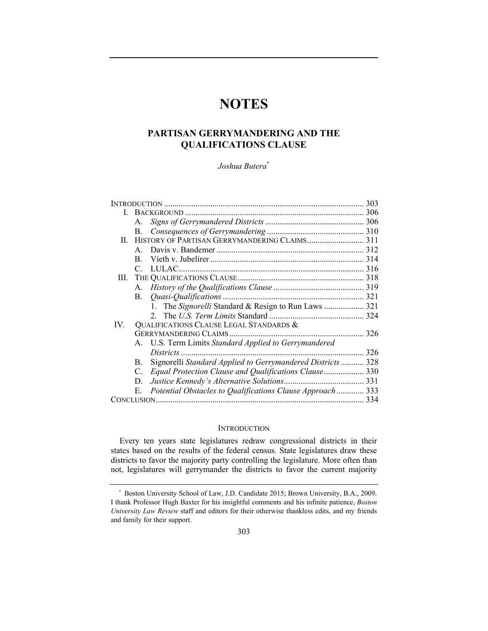# **NOTES**

# **PARTISAN GERRYMANDERING AND THE QUALIFICATIONS CLAUSE**

*Joshua Butera*<sup>∗</sup>

| <b>INTRODUCTION</b> |                                         |                                                             | 303 |
|---------------------|-----------------------------------------|-------------------------------------------------------------|-----|
| L.                  |                                         |                                                             |     |
|                     | $A_{\cdot}$                             |                                                             |     |
|                     | В.                                      |                                                             |     |
| H.                  |                                         |                                                             |     |
|                     | $\mathbf{A}$                            |                                                             |     |
|                     | B.                                      |                                                             |     |
|                     | $\mathcal{C}$                           |                                                             |     |
|                     |                                         |                                                             |     |
|                     | А.                                      |                                                             |     |
|                     | $\mathbf{B}$ .                          |                                                             |     |
|                     |                                         | 1. The Signorelli Standard & Resign to Run Laws  321        |     |
|                     |                                         |                                                             |     |
| $IV_{-}$            | QUALIFICATIONS CLAUSE LEGAL STANDARDS & |                                                             |     |
|                     | <b>GERRYMANDERING CLAIMS</b>            |                                                             | 326 |
|                     |                                         | A. U.S. Term Limits Standard Applied to Gerrymandered       |     |
|                     |                                         | Districts                                                   | 326 |
|                     | B.                                      | Signorelli Standard Applied to Gerrymandered Districts  328 |     |
|                     | C.                                      | Equal Protection Clause and Qualifications Clause 330       |     |
|                     | D.                                      |                                                             |     |
|                     | Е.                                      | Potential Obstacles to Qualifications Clause Approach  333  |     |
|                     |                                         |                                                             | 334 |

## **INTRODUCTION**

Every ten years state legislatures redraw congressional districts in their states based on the results of the federal census. State legislatures draw these districts to favor the majority party controlling the legislature. More often than not, legislatures will gerrymander the districts to favor the current majority

<sup>∗</sup> Boston University School of Law, J.D. Candidate 2015; Brown University, B.A., 2009. I thank Professor Hugh Baxter for his insightful comments and his infinite patience, *Boston University Law Review* staff and editors for their otherwise thankless edits, and my friends and family for their support.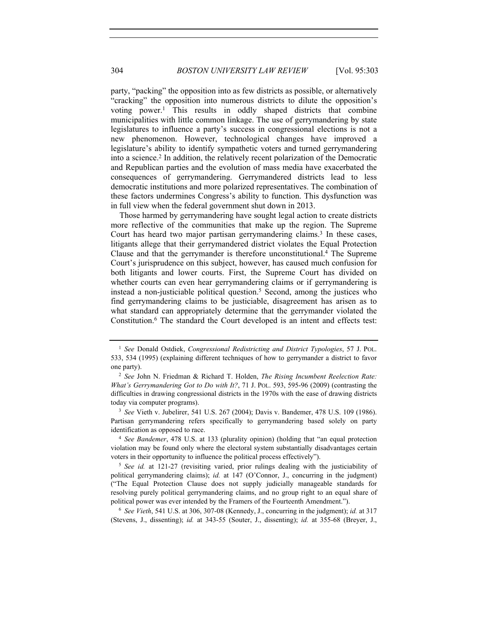party, "packing" the opposition into as few districts as possible, or alternatively "cracking" the opposition into numerous districts to dilute the opposition's voting power.1 This results in oddly shaped districts that combine municipalities with little common linkage. The use of gerrymandering by state legislatures to influence a party's success in congressional elections is not a new phenomenon. However, technological changes have improved a legislature's ability to identify sympathetic voters and turned gerrymandering into a science.2 In addition, the relatively recent polarization of the Democratic and Republican parties and the evolution of mass media have exacerbated the consequences of gerrymandering. Gerrymandered districts lead to less democratic institutions and more polarized representatives. The combination of these factors undermines Congress's ability to function. This dysfunction was in full view when the federal government shut down in 2013.

Those harmed by gerrymandering have sought legal action to create districts more reflective of the communities that make up the region. The Supreme Court has heard two major partisan gerrymandering claims.<sup>3</sup> In these cases, litigants allege that their gerrymandered district violates the Equal Protection Clause and that the gerrymander is therefore unconstitutional.4 The Supreme Court's jurisprudence on this subject, however, has caused much confusion for both litigants and lower courts. First, the Supreme Court has divided on whether courts can even hear gerrymandering claims or if gerrymandering is instead a non-justiciable political question.5 Second, among the justices who find gerrymandering claims to be justiciable, disagreement has arisen as to what standard can appropriately determine that the gerrymander violated the Constitution.6 The standard the Court developed is an intent and effects test:

Partisan gerrymandering refers specifically to gerrymandering based solely on party identification as opposed to race. 4 *See Bandemer*, 478 U.S. at 133 (plurality opinion) (holding that "an equal protection

violation may be found only where the electoral system substantially disadvantages certain voters in their opportunity to influence the political process effectively").

<sup>5</sup> *See id.* at 121-27 (revisiting varied, prior rulings dealing with the justiciability of political gerrymandering claims); *id.* at 147 (O'Connor, J., concurring in the judgment) ("The Equal Protection Clause does not supply judicially manageable standards for resolving purely political gerrymandering claims, and no group right to an equal share of political power was ever intended by the Framers of the Fourteenth Amendment."). 6 *See Vieth*, 541 U.S. at 306, 307-08 (Kennedy, J., concurring in the judgment); *id.* at 317

(Stevens, J., dissenting); *id.* at 343-55 (Souter, J., dissenting); *id.* at 355-68 (Breyer, J.,

<sup>1</sup> *See* Donald Ostdiek, *Congressional Redistricting and District Typologies*, 57 J. POL. 533, 534 (1995) (explaining different techniques of how to gerrymander a district to favor one party).

<sup>2</sup> *See* John N. Friedman & Richard T. Holden, *The Rising Incumbent Reelection Rate: What's Gerrymandering Got to Do with It?*, 71 J. POL. 593, 595-96 (2009) (contrasting the difficulties in drawing congressional districts in the 1970s with the ease of drawing districts today via computer programs). 3 *See* Vieth v. Jubelirer, 541 U.S. 267 (2004); Davis v. Bandemer, 478 U.S. 109 (1986).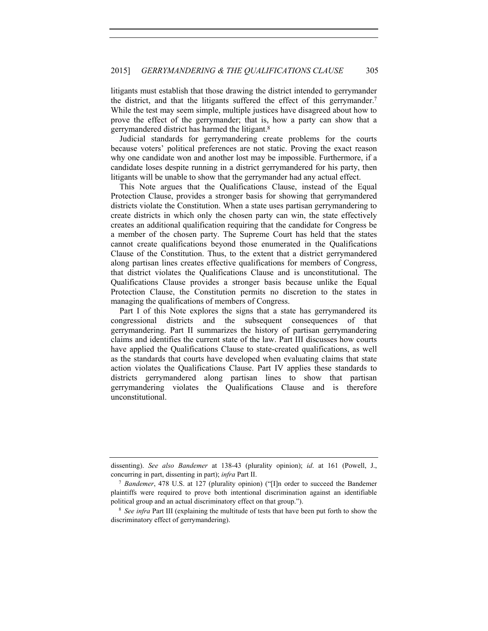litigants must establish that those drawing the district intended to gerrymander the district, and that the litigants suffered the effect of this gerrymander.7 While the test may seem simple, multiple justices have disagreed about how to prove the effect of the gerrymander; that is, how a party can show that a gerrymandered district has harmed the litigant.8

Judicial standards for gerrymandering create problems for the courts because voters' political preferences are not static. Proving the exact reason why one candidate won and another lost may be impossible. Furthermore, if a candidate loses despite running in a district gerrymandered for his party, then litigants will be unable to show that the gerrymander had any actual effect.

This Note argues that the Qualifications Clause, instead of the Equal Protection Clause, provides a stronger basis for showing that gerrymandered districts violate the Constitution. When a state uses partisan gerrymandering to create districts in which only the chosen party can win, the state effectively creates an additional qualification requiring that the candidate for Congress be a member of the chosen party. The Supreme Court has held that the states cannot create qualifications beyond those enumerated in the Qualifications Clause of the Constitution. Thus, to the extent that a district gerrymandered along partisan lines creates effective qualifications for members of Congress, that district violates the Qualifications Clause and is unconstitutional. The Qualifications Clause provides a stronger basis because unlike the Equal Protection Clause, the Constitution permits no discretion to the states in managing the qualifications of members of Congress.

Part I of this Note explores the signs that a state has gerrymandered its congressional districts and the subsequent consequences of that gerrymandering. Part II summarizes the history of partisan gerrymandering claims and identifies the current state of the law. Part III discusses how courts have applied the Qualifications Clause to state-created qualifications, as well as the standards that courts have developed when evaluating claims that state action violates the Qualifications Clause. Part IV applies these standards to districts gerrymandered along partisan lines to show that partisan gerrymandering violates the Qualifications Clause and is therefore unconstitutional.

dissenting). *See also Bandemer* at 138-43 (plurality opinion); *id*. at 161 (Powell, J., concurring in part, dissenting in part); *infra* Part II.<br><sup>7</sup> *Bandemer*, 478 U.S. at 127 (plurality opinion) ("[I]n order to succeed the Bandemer

plaintiffs were required to prove both intentional discrimination against an identifiable political group and an actual discriminatory effect on that group."). 8 *See infra* Part III (explaining the multitude of tests that have been put forth to show the

discriminatory effect of gerrymandering).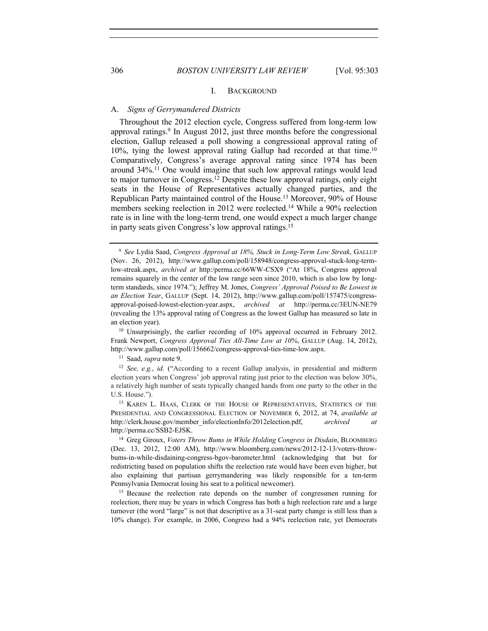# 306 *BOSTON UNIVERSITY LAW REVIEW* [Vol. 95:303

#### I. BACKGROUND

## A. *Signs of Gerrymandered Districts*

Throughout the 2012 election cycle, Congress suffered from long-term low approval ratings.<sup>9</sup> In August 2012, just three months before the congressional election, Gallup released a poll showing a congressional approval rating of 10%, tying the lowest approval rating Gallup had recorded at that time.10 Comparatively, Congress's average approval rating since 1974 has been around 34%.11 One would imagine that such low approval ratings would lead to major turnover in Congress.12 Despite these low approval ratings, only eight seats in the House of Representatives actually changed parties, and the Republican Party maintained control of the House.13 Moreover, 90% of House members seeking reelection in 2012 were reelected.<sup>14</sup> While a 90% reelection rate is in line with the long-term trend, one would expect a much larger change in party seats given Congress's low approval ratings.15

an election year).<br><sup>10</sup> Unsurprisingly, the earlier recording of 10% approval occurred in February 2012. Frank Newport, *Congress Approval Ties All-Time Low at 10%*, GALLUP (Aug. 14, 2012), http://www.gallup.com/poll/156662/congress-approval-ties-time-low.aspx.

<sup>11</sup> Saad, *supra* note 9.

<sup>12</sup> *See, e.g.*, *id.* ("According to a recent Gallup analysis, in presidential and midterm election years when Congress' job approval rating just prior to the election was below 30%, a relatively high number of seats typically changed hands from one party to the other in the U.S. House.").

<sup>13</sup> KAREN L. HAAS, CLERK OF THE HOUSE OF REPRESENTATIVES, STATISTICS OF THE PRESIDENTIAL AND CONGRESSIONAL ELECTION OF NOVEMBER 6, 2012, at 74, *available at* http://clerk.house.gov/member\_info/electionInfo/2012election.pdf, *archived at* http://perma.cc/SSB2-EJSK.

<sup>14</sup> Greg Giroux, *Voters Throw Bums in While Holding Congress in Disdain*, BLOOMBERG (Dec. 13, 2012, 12:00 AM), http://www.bloomberg.com/news/2012-12-13/voters-throwbums-in-while-disdaining-congress-bgov-barometer.html (acknowledging that but for redistricting based on population shifts the reelection rate would have been even higher, but also explaining that partisan gerrymandering was likely responsible for a ten-term Pennsylvania Democrat losing his seat to a political newcomer). 15 Because the reelection rate depends on the number of congressmen running for

reelection, there may be years in which Congress has both a high reelection rate and a large turnover (the word "large" is not that descriptive as a 31-seat party change is still less than a 10% change). For example, in 2006, Congress had a 94% reelection rate, yet Democrats

<sup>9</sup> *See* Lydia Saad, *Congress Approval at 18%, Stuck in Long-Term Low Streak*, GALLUP (Nov. 26, 2012), http://www.gallup.com/poll/158948/congress-approval-stuck-long-termlow-streak.aspx, *archived at* http:/perma.cc/66WW-CSX9 ("At 18%, Congress approval remains squarely in the center of the low range seen since 2010, which is also low by longterm standards, since 1974."); Jeffrey M. Jones, *Congress' Approval Poised to Be Lowest in an Election Year*, GALLUP (Sept. 14, 2012), http://www.gallup.com/poll/157475/congressapproval-poised-lowest-election-year.aspx, *archived at* http://perma.cc/3EUN-NE79 (revealing the 13% approval rating of Congress as the lowest Gallup has measured so late in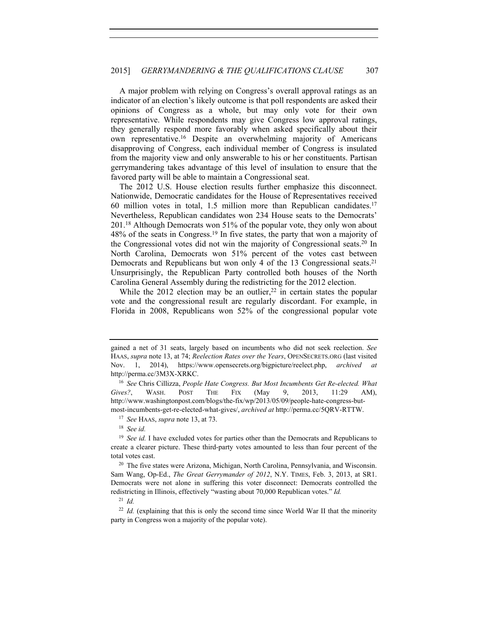A major problem with relying on Congress's overall approval ratings as an indicator of an election's likely outcome is that poll respondents are asked their opinions of Congress as a whole, but may only vote for their own representative. While respondents may give Congress low approval ratings, they generally respond more favorably when asked specifically about their own representative.16 Despite an overwhelming majority of Americans disapproving of Congress, each individual member of Congress is insulated from the majority view and only answerable to his or her constituents. Partisan gerrymandering takes advantage of this level of insulation to ensure that the favored party will be able to maintain a Congressional seat.

The 2012 U.S. House election results further emphasize this disconnect. Nationwide, Democratic candidates for the House of Representatives received 60 million votes in total, 1.5 million more than Republican candidates.17 Nevertheless, Republican candidates won 234 House seats to the Democrats' 201.18 Although Democrats won 51% of the popular vote, they only won about 48% of the seats in Congress.19 In five states, the party that won a majority of the Congressional votes did not win the majority of Congressional seats.20 In North Carolina, Democrats won 51% percent of the votes cast between Democrats and Republicans but won only 4 of the 13 Congressional seats.<sup>21</sup> Unsurprisingly, the Republican Party controlled both houses of the North Carolina General Assembly during the redistricting for the 2012 election.

While the 2012 election may be an outlier,  $2^2$  in certain states the popular vote and the congressional result are regularly discordant. For example, in Florida in 2008, Republicans won 52% of the congressional popular vote

gained a net of 31 seats, largely based on incumbents who did not seek reelection. *See* HAAS, *supra* note 13, at 74; *Reelection Rates over the Years*, OPENSECRETS.ORG (last visited Nov. 1, 2014), https://www.opensecrets.org/bigpicture/reelect.php, *archived at* http://perma.cc/3M3X-XRKC. 16 *See* Chris Cillizza, *People Hate Congress. But Most Incumbents Get Re-elected. What* 

*Gives?*, WASH. POST THE FIX (May 9, 2013, 11:29 AM), http://www.washingtonpost.com/blogs/the-fix/wp/2013/05/09/people-hate-congress-butmost-incumbents-get-re-elected-what-gives/, *archived at* http://perma.cc/5QRV-RTTW. 17 *See* HAAS, *supra* note 13, at 73. 18 *See id.*

<sup>&</sup>lt;sup>19</sup> *See id.* I have excluded votes for parties other than the Democrats and Republicans to create a clearer picture. These third-party votes amounted to less than four percent of the total votes cast.

<sup>&</sup>lt;sup>20</sup> The five states were Arizona, Michigan, North Carolina, Pennsylvania, and Wisconsin. Sam Wang, Op-Ed., *The Great Gerrymander of 2012*, N.Y. TIMES, Feb. 3, 2013, at SR1. Democrats were not alone in suffering this voter disconnect: Democrats controlled the redistricting in Illinois, effectively "wasting about 70,000 Republican votes." *Id.* 21 *Id.*

<sup>&</sup>lt;sup>22</sup> *Id.* (explaining that this is only the second time since World War II that the minority party in Congress won a majority of the popular vote).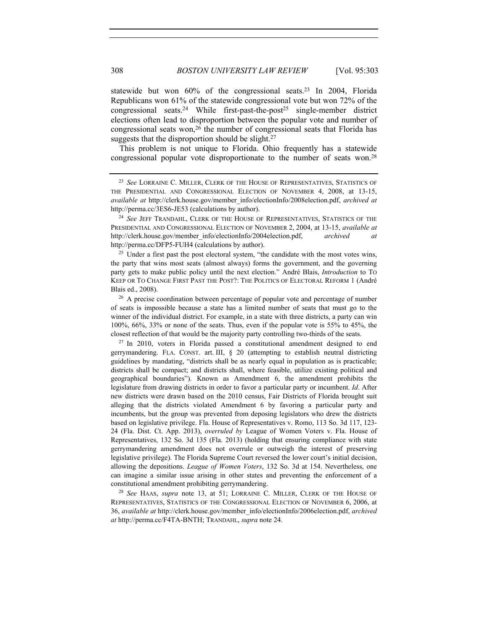statewide but won  $60\%$  of the congressional seats.<sup>23</sup> In 2004, Florida Republicans won 61% of the statewide congressional vote but won 72% of the congressional seats.<sup>24</sup> While first-past-the-post<sup>25</sup> single-member district elections often lead to disproportion between the popular vote and number of congressional seats won,  $2\overline{6}$  the number of congressional seats that Florida has suggests that the disproportion should be slight.<sup>27</sup>

This problem is not unique to Florida. Ohio frequently has a statewide congressional popular vote disproportionate to the number of seats won.28

the party that wins most seats (almost always) forms the government, and the governing party gets to make public policy until the next election." André Blais, *Introduction* to TO KEEP OR TO CHANGE FIRST PAST THE POST?: THE POLITICS OF ELECTORAL REFORM 1 (André Blais ed., 2008).

<sup>26</sup> A precise coordination between percentage of popular vote and percentage of number of seats is impossible because a state has a limited number of seats that must go to the winner of the individual district. For example, in a state with three districts, a party can win 100%, 66%, 33% or none of the seats. Thus, even if the popular vote is 55% to 45%, the closest reflection of that would be the majority party controlling two-thirds of the seats. 27 In 2010, voters in Florida passed a constitutional amendment designed to end

gerrymandering. FLA. CONST. art. III,  $\S$  20 (attempting to establish neutral districting guidelines by mandating, "districts shall be as nearly equal in population as is practicable; districts shall be compact; and districts shall, where feasible, utilize existing political and geographical boundaries"). Known as Amendment 6, the amendment prohibits the legislature from drawing districts in order to favor a particular party or incumbent. *Id*. After new districts were drawn based on the 2010 census, Fair Districts of Florida brought suit alleging that the districts violated Amendment 6 by favoring a particular party and incumbents, but the group was prevented from deposing legislators who drew the districts based on legislative privilege. Fla. House of Representatives v. Romo, 113 So. 3d 117, 123- 24 (Fla. Dist. Ct. App. 2013), *overruled by* League of Women Voters v. Fla. House of Representatives, 132 So. 3d 135 (Fla. 2013) (holding that ensuring compliance with state gerrymandering amendment does not overrule or outweigh the interest of preserving legislative privilege). The Florida Supreme Court reversed the lower court's initial decision, allowing the depositions. *League of Women Voters*, 132 So. 3d at 154. Nevertheless, one can imagine a similar issue arising in other states and preventing the enforcement of a constitutional amendment prohibiting gerrymandering. 28 *See* HAAS, *supra* note 13, at 51; LORRAINE C. MILLER, CLERK OF THE HOUSE OF

REPRESENTATIVES, STATISTICS OF THE CONGRESSIONAL ELECTION OF NOVEMBER 6, 2006, at 36, *available at* http://clerk.house.gov/member\_info/electionInfo/2006election.pdf, *archived at* http://perma.cc/F4TA-BNTH; TRANDAHL, *supra* note 24.

<sup>23</sup> *See* LORRAINE C. MILLER, CLERK OF THE HOUSE OF REPRESENTATIVES, STATISTICS OF THE PRESIDENTIAL AND CONGRESSIONAL ELECTION OF NOVEMBER 4, 2008, at 13-15, *available at* http://clerk.house.gov/member\_info/electionInfo/2008election.pdf, *archived at* http://perma.cc/3ES6-JE53 (calculations by author). 24 *See* JEFF TRANDAHL, CLERK OF THE HOUSE OF REPRESENTATIVES, STATISTICS OF THE

PRESIDENTIAL AND CONGRESSIONAL ELECTION OF NOVEMBER 2, 2004, at 13-15, *available at* http://clerk.house.gov/member\_info/electionInfo/2004election.pdf, *archived at* http://perma.cc/DFP5-FUH4 (calculations by author).<br><sup>25</sup> Under a first past the post electoral system, "the candidate with the most votes wins,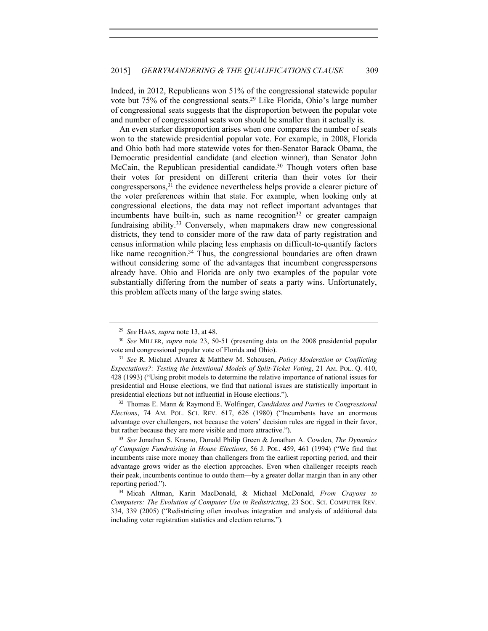Indeed, in 2012, Republicans won 51% of the congressional statewide popular vote but 75% of the congressional seats.29 Like Florida, Ohio's large number of congressional seats suggests that the disproportion between the popular vote and number of congressional seats won should be smaller than it actually is.

An even starker disproportion arises when one compares the number of seats won to the statewide presidential popular vote. For example, in 2008, Florida and Ohio both had more statewide votes for then-Senator Barack Obama, the Democratic presidential candidate (and election winner), than Senator John McCain, the Republican presidential candidate.<sup>30</sup> Though voters often base their votes for president on different criteria than their votes for their congresspersons,31 the evidence nevertheless helps provide a clearer picture of the voter preferences within that state. For example, when looking only at congressional elections, the data may not reflect important advantages that incumbents have built-in, such as name recognition<sup>32</sup> or greater campaign fundraising ability.33 Conversely, when mapmakers draw new congressional districts, they tend to consider more of the raw data of party registration and census information while placing less emphasis on difficult-to-quantify factors like name recognition.<sup>34</sup> Thus, the congressional boundaries are often drawn without considering some of the advantages that incumbent congresspersons already have. Ohio and Florida are only two examples of the popular vote substantially differing from the number of seats a party wins. Unfortunately, this problem affects many of the large swing states.

<sup>32</sup> Thomas E. Mann & Raymond E. Wolfinger, *Candidates and Parties in Congressional Elections*, 74 AM. POL. SCI. REV. 617, 626 (1980) ("Incumbents have an enormous advantage over challengers, not because the voters' decision rules are rigged in their favor, but rather because they are more visible and more attractive.").

<sup>33</sup> *See* Jonathan S. Krasno, Donald Philip Green & Jonathan A. Cowden, *The Dynamics of Campaign Fundraising in House Elections*, 56 J. POL. 459, 461 (1994) ("We find that incumbents raise more money than challengers from the earliest reporting period, and their advantage grows wider as the election approaches. Even when challenger receipts reach their peak, incumbents continue to outdo them—by a greater dollar margin than in any other reporting period."). 34 Micah Altman, Karin MacDonald, & Michael McDonald, *From Crayons to* 

*Computers: The Evolution of Computer Use in Redistricting*, 23 SOC. SCI. COMPUTER REV. 334, 339 (2005) ("Redistricting often involves integration and analysis of additional data including voter registration statistics and election returns.").

<sup>29</sup> *See* HAAS, *supra* note 13, at 48.

<sup>30</sup> *See* MILLER, *supra* note 23, 50-51 (presenting data on the 2008 presidential popular vote and congressional popular vote of Florida and Ohio).

<sup>31</sup> *See* R. Michael Alvarez & Matthew M. Schousen, *Policy Moderation or Conflicting Expectations?: Testing the Intentional Models of Split-Ticket Voting*, 21 AM. POL. Q. 410, 428 (1993) ("Using probit models to determine the relative importance of national issues for presidential and House elections, we find that national issues are statistically important in presidential elections but not influential in House elections.").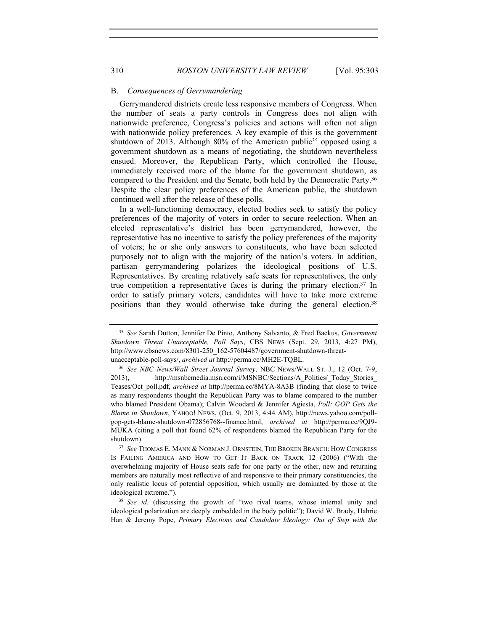### B. *Consequences of Gerrymandering*

Gerrymandered districts create less responsive members of Congress. When the number of seats a party controls in Congress does not align with nationwide preference, Congress's policies and actions will often not align with nationwide policy preferences. A key example of this is the government shutdown of 2013. Although 80% of the American public<sup>35</sup> opposed using a government shutdown as a means of negotiating, the shutdown nevertheless ensued. Moreover, the Republican Party, which controlled the House, immediately received more of the blame for the government shutdown, as compared to the President and the Senate, both held by the Democratic Party.36 Despite the clear policy preferences of the American public, the shutdown continued well after the release of these polls.

In a well-functioning democracy, elected bodies seek to satisfy the policy preferences of the majority of voters in order to secure reelection. When an elected representative's district has been gerrymandered, however, the representative has no incentive to satisfy the policy preferences of the majority of voters; he or she only answers to constituents, who have been selected purposely not to align with the majority of the nation's voters. In addition, partisan gerrymandering polarizes the ideological positions of U.S. Representatives. By creating relatively safe seats for representatives, the only true competition a representative faces is during the primary election.37 In order to satisfy primary voters, candidates will have to take more extreme positions than they would otherwise take during the general election.<sup>38</sup>

<sup>35</sup> *See* Sarah Dutton, Jennifer De Pinto, Anthony Salvanto, & Fred Backus, *Government Shutdown Threat Unacceptable, Poll Says*, CBS NEWS (Sept. 29, 2013, 4:27 PM), http://www.cbsnews.com/8301-250\_162-57604487/government-shutdown-threatunacceptable-poll-says/, *archived at* http://perma.cc/MH2E-TQBL. 36 *See NBC News/Wall Street Journal Survey*, NBC NEWS/WALL ST. J., 12 (Oct. 7-9,

<sup>2013),</sup> http://msnbcmedia.msn.com/i/MSNBC/Sections/A\_Politics/\_Today\_Stories Teases/Oct\_poll.pdf, *archived at* http://perma.cc/8MYA-8A3B (finding that close to twice as many respondents thought the Republican Party was to blame compared to the number who blamed President Obama); Calvin Woodard & Jennifer Agiesta, *Poll: GOP Gets the Blame in Shutdown*, YAHOO! NEWS, (Oct. 9, 2013, 4:44 AM), http://news.yahoo.com/pollgop-gets-blame-shutdown-072856768--finance.html, *archived at* http://perma.cc/9QJ9- MUKA (citing a poll that found 62% of respondents blamed the Republican Party for the shutdown). 37 *See* THOMAS E. MANN & NORMAN J. ORNSTEIN, THE BROKEN BRANCH: HOW CONGRESS

IS FAILING AMERICA AND HOW TO GET IT BACK ON TRACK 12 (2006) ("With the overwhelming majority of House seats safe for one party or the other, new and returning members are naturally most reflective of and responsive to their primary constituencies, the only realistic locus of potential opposition, which usually are dominated by those at the ideological extreme.").

<sup>38</sup> *See id.* (discussing the growth of "two rival teams, whose internal unity and ideological polarization are deeply embedded in the body politic"); David W. Brady, Hahrie Han & Jeremy Pope, *Primary Elections and Candidate Ideology: Out of Step with the*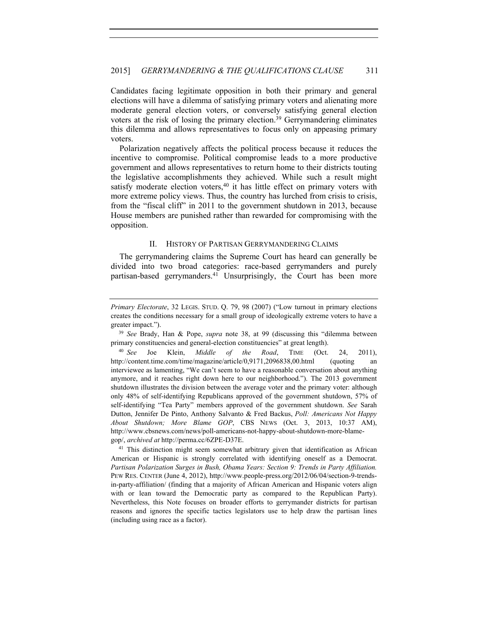Candidates facing legitimate opposition in both their primary and general elections will have a dilemma of satisfying primary voters and alienating more moderate general election voters, or conversely satisfying general election voters at the risk of losing the primary election.39 Gerrymandering eliminates this dilemma and allows representatives to focus only on appeasing primary voters.

Polarization negatively affects the political process because it reduces the incentive to compromise. Political compromise leads to a more productive government and allows representatives to return home to their districts touting the legislative accomplishments they achieved. While such a result might satisfy moderate election voters,<sup>40</sup> it has little effect on primary voters with more extreme policy views. Thus, the country has lurched from crisis to crisis, from the "fiscal cliff" in 2011 to the government shutdown in 2013, because House members are punished rather than rewarded for compromising with the opposition.

#### II. HISTORY OF PARTISAN GERRYMANDERING CLAIMS

The gerrymandering claims the Supreme Court has heard can generally be divided into two broad categories: race-based gerrymanders and purely partisan-based gerrymanders.<sup>41</sup> Unsurprisingly, the Court has been more

primary constituencies and general-election constituencies" at great length).

*Primary Electorate*, 32 LEGIS. STUD. Q. 79, 98 (2007) ("Low turnout in primary elections creates the conditions necessary for a small group of ideologically extreme voters to have a greater impact.").<br><sup>39</sup> *See* Brady, Han & Pope, *supra* note 38, at 99 (discussing this "dilemma between

<sup>40</sup> *See* Joe Klein, *Middle of the Road*, TIME (Oct. 24, 2011), http://content.time.com/time/magazine/article/0,9171,2096838,00.html (quoting an interviewee as lamenting, "We can't seem to have a reasonable conversation about anything anymore, and it reaches right down here to our neighborhood."). The 2013 government shutdown illustrates the division between the average voter and the primary voter: although only 48% of self-identifying Republicans approved of the government shutdown, 57% of self-identifying "Tea Party" members approved of the government shutdown. *See* Sarah Dutton, Jennifer De Pinto, Anthony Salvanto & Fred Backus, *Poll: Americans Not Happy About Shutdown; More Blame GOP*, CBS NEWS (Oct. 3, 2013, 10:37 AM), http://www.cbsnews.com/news/poll-americans-not-happy-about-shutdown-more-blamegop/, *archived at* http://perma.cc/6ZPE-D37E.

<sup>&</sup>lt;sup>41</sup> This distinction might seem somewhat arbitrary given that identification as African American or Hispanic is strongly correlated with identifying oneself as a Democrat. *Partisan Polarization Surges in Bush, Obama Years: Section 9: Trends in Party Affiliation.* PEW RES. CENTER (June 4, 2012), http://www.people-press.org/2012/06/04/section-9-trendsin-party-affiliation/ (finding that a majority of African American and Hispanic voters align with or lean toward the Democratic party as compared to the Republican Party). Nevertheless, this Note focuses on broader efforts to gerrymander districts for partisan reasons and ignores the specific tactics legislators use to help draw the partisan lines (including using race as a factor).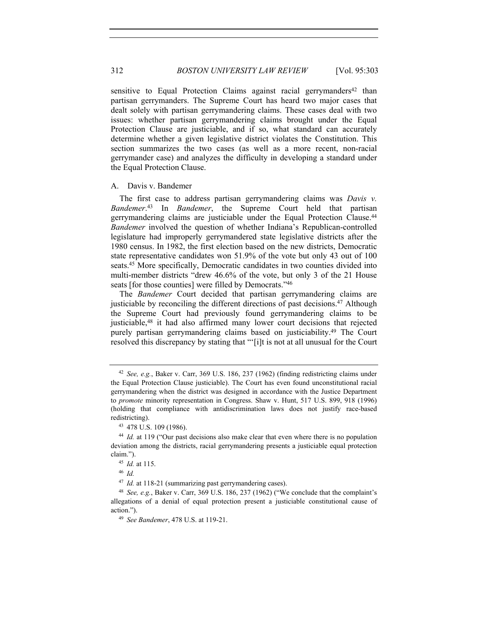312 *BOSTON UNIVERSITY LAW REVIEW* [Vol. 95:303

sensitive to Equal Protection Claims against racial gerrymanders<sup>42</sup> than partisan gerrymanders. The Supreme Court has heard two major cases that dealt solely with partisan gerrymandering claims. These cases deal with two issues: whether partisan gerrymandering claims brought under the Equal Protection Clause are justiciable, and if so, what standard can accurately determine whether a given legislative district violates the Constitution. This section summarizes the two cases (as well as a more recent, non-racial gerrymander case) and analyzes the difficulty in developing a standard under the Equal Protection Clause.

#### A. Davis v. Bandemer

The first case to address partisan gerrymandering claims was *Davis v. Bandemer*. 43 In *Bandemer*, the Supreme Court held that partisan gerrymandering claims are justiciable under the Equal Protection Clause.44 *Bandemer* involved the question of whether Indiana's Republican-controlled legislature had improperly gerrymandered state legislative districts after the 1980 census. In 1982, the first election based on the new districts, Democratic state representative candidates won 51.9% of the vote but only 43 out of 100 seats.45 More specifically, Democratic candidates in two counties divided into multi-member districts "drew 46.6% of the vote, but only 3 of the 21 House seats [for those counties] were filled by Democrats."46

The *Bandemer* Court decided that partisan gerrymandering claims are justiciable by reconciling the different directions of past decisions.<sup>47</sup> Although the Supreme Court had previously found gerrymandering claims to be justiciable,48 it had also affirmed many lower court decisions that rejected purely partisan gerrymandering claims based on justiciability.49 The Court resolved this discrepancy by stating that "'[i]t is not at all unusual for the Court

<sup>42</sup> *See, e.g.*, Baker v. Carr, 369 U.S. 186, 237 (1962) (finding redistricting claims under the Equal Protection Clause justiciable). The Court has even found unconstitutional racial gerrymandering when the district was designed in accordance with the Justice Department to *promote* minority representation in Congress. Shaw v. Hunt, 517 U.S. 899, 918 (1996) (holding that compliance with antidiscrimination laws does not justify race-based redistricting).<br><sup>43</sup> 478 U.S. 109 (1986).<br><sup>44</sup> *Id.* at 119 ("Our past decisions also make clear that even where there is no population

deviation among the districts, racial gerrymandering presents a justiciable equal protection claim.").

<sup>45</sup> *Id.* at 115.

<sup>46</sup> *Id.*

<sup>47</sup> *Id.* at 118-21 (summarizing past gerrymandering cases).

<sup>48</sup> *See, e.g.*, Baker v. Carr, 369 U.S. 186, 237 (1962) ("We conclude that the complaint's allegations of a denial of equal protection present a justiciable constitutional cause of action."). 49 *See Bandemer*, 478 U.S. at 119-21.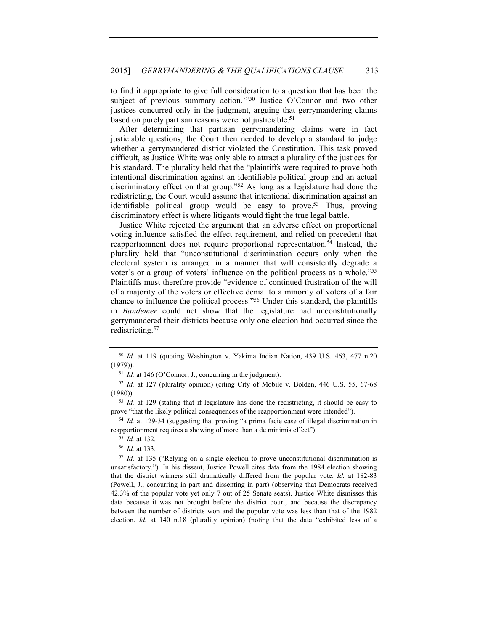to find it appropriate to give full consideration to a question that has been the subject of previous summary action."<sup>50</sup> Justice O'Connor and two other justices concurred only in the judgment, arguing that gerrymandering claims based on purely partisan reasons were not justiciable.<sup>51</sup>

After determining that partisan gerrymandering claims were in fact justiciable questions, the Court then needed to develop a standard to judge whether a gerrymandered district violated the Constitution. This task proved difficult, as Justice White was only able to attract a plurality of the justices for his standard. The plurality held that the "plaintiffs were required to prove both intentional discrimination against an identifiable political group and an actual discriminatory effect on that group."52 As long as a legislature had done the redistricting, the Court would assume that intentional discrimination against an identifiable political group would be easy to prove.53 Thus, proving discriminatory effect is where litigants would fight the true legal battle.

Justice White rejected the argument that an adverse effect on proportional voting influence satisfied the effect requirement, and relied on precedent that reapportionment does not require proportional representation.54 Instead, the plurality held that "unconstitutional discrimination occurs only when the electoral system is arranged in a manner that will consistently degrade a voter's or a group of voters' influence on the political process as a whole."55 Plaintiffs must therefore provide "evidence of continued frustration of the will of a majority of the voters or effective denial to a minority of voters of a fair chance to influence the political process."56 Under this standard, the plaintiffs in *Bandemer* could not show that the legislature had unconstitutionally gerrymandered their districts because only one election had occurred since the redistricting.57

<sup>52</sup> *Id.* at 127 (plurality opinion) (citing City of Mobile v. Bolden, 446 U.S. 55, 67-68 (1980)). 53 *Id.* at 129 (stating that if legislature has done the redistricting, it should be easy to

prove "that the likely political consequences of the reapportionment were intended").

<sup>54</sup> *Id.* at 129-34 (suggesting that proving "a prima facie case of illegal discrimination in reapportionment requires a showing of more than a de minimis effect").

<sup>57</sup> *Id.* at 135 ("Relying on a single election to prove unconstitutional discrimination is unsatisfactory."). In his dissent, Justice Powell cites data from the 1984 election showing that the district winners still dramatically differed from the popular vote. *Id.* at 182-83 (Powell, J., concurring in part and dissenting in part) (observing that Democrats received 42.3% of the popular vote yet only 7 out of 25 Senate seats). Justice White dismisses this data because it was not brought before the district court, and because the discrepancy between the number of districts won and the popular vote was less than that of the 1982 election. *Id.* at 140 n.18 (plurality opinion) (noting that the data "exhibited less of a

<sup>50</sup> *Id.* at 119 (quoting Washington v. Yakima Indian Nation, 439 U.S. 463, 477 n.20 (1979)).<br><sup>51</sup> *Id.* at 146 (O'Connor, J., concurring in the judgment).

<sup>55</sup> *Id.* at 132. 56 *Id.* at 133.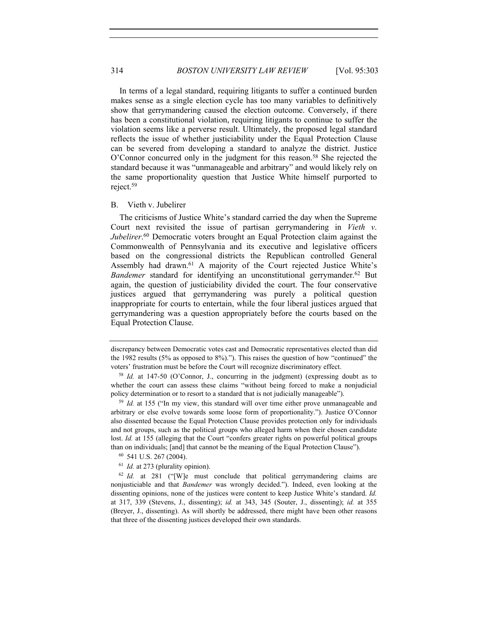In terms of a legal standard, requiring litigants to suffer a continued burden makes sense as a single election cycle has too many variables to definitively show that gerrymandering caused the election outcome. Conversely, if there has been a constitutional violation, requiring litigants to continue to suffer the violation seems like a perverse result. Ultimately, the proposed legal standard reflects the issue of whether justiciability under the Equal Protection Clause can be severed from developing a standard to analyze the district. Justice O'Connor concurred only in the judgment for this reason.<sup>58</sup> She rejected the standard because it was "unmanageable and arbitrary" and would likely rely on the same proportionality question that Justice White himself purported to reject.59

# B. Vieth v. Jubelirer

The criticisms of Justice White's standard carried the day when the Supreme Court next revisited the issue of partisan gerrymandering in *Vieth v*. *Jubelirer*. 60 Democratic voters brought an Equal Protection claim against the Commonwealth of Pennsylvania and its executive and legislative officers based on the congressional districts the Republican controlled General Assembly had drawn.<sup>61</sup> A majority of the Court rejected Justice White's *Bandemer* standard for identifying an unconstitutional gerrymander.<sup>62</sup> But again, the question of justiciability divided the court. The four conservative justices argued that gerrymandering was purely a political question inappropriate for courts to entertain, while the four liberal justices argued that gerrymandering was a question appropriately before the courts based on the Equal Protection Clause.

discrepancy between Democratic votes cast and Democratic representatives elected than did the 1982 results (5% as opposed to 8%)."). This raises the question of how "continued" the voters' frustration must be before the Court will recognize discriminatory effect.<br><sup>58</sup> *Id.* at 147-50 (O'Connor, J., concurring in the judgment) (expressing doubt as to

whether the court can assess these claims "without being forced to make a nonjudicial policy determination or to resort to a standard that is not judicially manageable").<br><sup>59</sup> *Id.* at 155 ("In my view, this standard will over time either prove unmanageable and

arbitrary or else evolve towards some loose form of proportionality."). Justice O'Connor also dissented because the Equal Protection Clause provides protection only for individuals and not groups, such as the political groups who alleged harm when their chosen candidate lost. *Id.* at 155 (alleging that the Court "confers greater rights on powerful political groups than on individuals; [and] that cannot be the meaning of the Equal Protection Clause").

<sup>60</sup> 541 U.S. 267 (2004).

<sup>61</sup> *Id.* at 273 (plurality opinion).

<sup>62</sup> *Id.* at 281 ("[W]e must conclude that political gerrymandering claims are nonjusticiable and that *Bandemer* was wrongly decided."). Indeed, even looking at the dissenting opinions, none of the justices were content to keep Justice White's standard. *Id.* at 317, 339 (Stevens, J., dissenting); *id.* at 343, 345 (Souter, J., dissenting); *id.* at 355 (Breyer, J., dissenting). As will shortly be addressed, there might have been other reasons that three of the dissenting justices developed their own standards.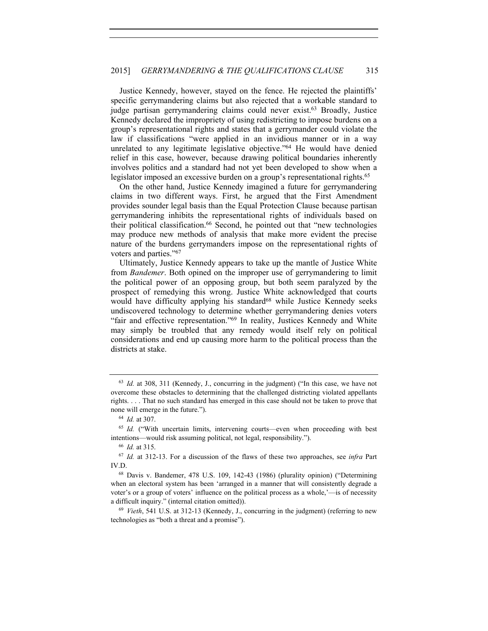Justice Kennedy, however, stayed on the fence. He rejected the plaintiffs' specific gerrymandering claims but also rejected that a workable standard to judge partisan gerrymandering claims could never exist.<sup>63</sup> Broadly, Justice Kennedy declared the impropriety of using redistricting to impose burdens on a group's representational rights and states that a gerrymander could violate the law if classifications "were applied in an invidious manner or in a way unrelated to any legitimate legislative objective."64 He would have denied relief in this case, however, because drawing political boundaries inherently involves politics and a standard had not yet been developed to show when a legislator imposed an excessive burden on a group's representational rights.<sup>65</sup>

On the other hand, Justice Kennedy imagined a future for gerrymandering claims in two different ways. First, he argued that the First Amendment provides sounder legal basis than the Equal Protection Clause because partisan gerrymandering inhibits the representational rights of individuals based on their political classification.66 Second, he pointed out that "new technologies may produce new methods of analysis that make more evident the precise nature of the burdens gerrymanders impose on the representational rights of voters and parties."67

Ultimately, Justice Kennedy appears to take up the mantle of Justice White from *Bandemer*. Both opined on the improper use of gerrymandering to limit the political power of an opposing group, but both seem paralyzed by the prospect of remedying this wrong. Justice White acknowledged that courts would have difficulty applying his standard<sup>68</sup> while Justice Kennedy seeks undiscovered technology to determine whether gerrymandering denies voters "fair and effective representation."69 In reality, Justices Kennedy and White may simply be troubled that any remedy would itself rely on political considerations and end up causing more harm to the political process than the districts at stake.

<sup>63</sup> *Id.* at 308, 311 (Kennedy, J., concurring in the judgment) ("In this case, we have not overcome these obstacles to determining that the challenged districting violated appellants rights. . . . That no such standard has emerged in this case should not be taken to prove that none will emerge in the future.").<br><sup>64</sup> *Id.* at 307.<br><sup>65</sup> *Id.* ("With uncertain limits, intervening courts—even when proceeding with best

intentions—would risk assuming political, not legal, responsibility.").

<sup>66</sup> *Id.* at 315.

<sup>67</sup> *Id.* at 312-13. For a discussion of the flaws of these two approaches, see *infra* Part IV.D.

<sup>68</sup> Davis v. Bandemer, 478 U.S. 109, 142-43 (1986) (plurality opinion) ("Determining when an electoral system has been 'arranged in a manner that will consistently degrade a voter's or a group of voters' influence on the political process as a whole,'—is of necessity a difficult inquiry." (internal citation omitted)). 69 *Vieth*, 541 U.S. at 312-13 (Kennedy, J., concurring in the judgment) (referring to new

technologies as "both a threat and a promise").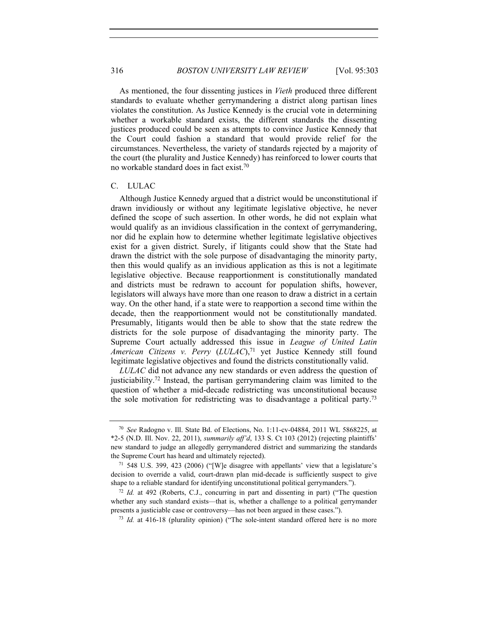As mentioned, the four dissenting justices in *Vieth* produced three different standards to evaluate whether gerrymandering a district along partisan lines violates the constitution. As Justice Kennedy is the crucial vote in determining whether a workable standard exists, the different standards the dissenting justices produced could be seen as attempts to convince Justice Kennedy that the Court could fashion a standard that would provide relief for the circumstances. Nevertheless, the variety of standards rejected by a majority of the court (the plurality and Justice Kennedy) has reinforced to lower courts that no workable standard does in fact exist.70

#### C. LULAC

Although Justice Kennedy argued that a district would be unconstitutional if drawn invidiously or without any legitimate legislative objective, he never defined the scope of such assertion. In other words, he did not explain what would qualify as an invidious classification in the context of gerrymandering, nor did he explain how to determine whether legitimate legislative objectives exist for a given district. Surely, if litigants could show that the State had drawn the district with the sole purpose of disadvantaging the minority party, then this would qualify as an invidious application as this is not a legitimate legislative objective. Because reapportionment is constitutionally mandated and districts must be redrawn to account for population shifts, however, legislators will always have more than one reason to draw a district in a certain way. On the other hand, if a state were to reapportion a second time within the decade, then the reapportionment would not be constitutionally mandated. Presumably, litigants would then be able to show that the state redrew the districts for the sole purpose of disadvantaging the minority party. The Supreme Court actually addressed this issue in *League of United Latin American Citizens v. Perry* (*LULAC*),71 yet Justice Kennedy still found legitimate legislative objectives and found the districts constitutionally valid.

*LULAC* did not advance any new standards or even address the question of justiciability.72 Instead, the partisan gerrymandering claim was limited to the question of whether a mid-decade redistricting was unconstitutional because the sole motivation for redistricting was to disadvantage a political party.73

<sup>70</sup> *See* Radogno v. Ill. State Bd. of Elections, No. 1:11-cv-04884, 2011 WL 5868225, at \*2-5 (N.D. Ill. Nov. 22, 2011), *summarily aff'd*, 133 S. Ct 103 (2012) (rejecting plaintiffs' new standard to judge an allegedly gerrymandered district and summarizing the standards the Supreme Court has heard and ultimately rejected).<br><sup>71</sup> 548 U.S. 399, 423 (2006) ("[W]e disagree with appellants' view that a legislature's

decision to override a valid, court-drawn plan mid-decade is sufficiently suspect to give shape to a reliable standard for identifying unconstitutional political gerrymanders.").

<sup>72</sup> *Id.* at 492 (Roberts, C.J., concurring in part and dissenting in part) ("The question whether any such standard exists—that is, whether a challenge to a political gerrymander presents a justiciable case or controversy—has not been argued in these cases.").<br><sup>73</sup> *Id.* at 416-18 (plurality opinion) ("The sole-intent standard offered here is no more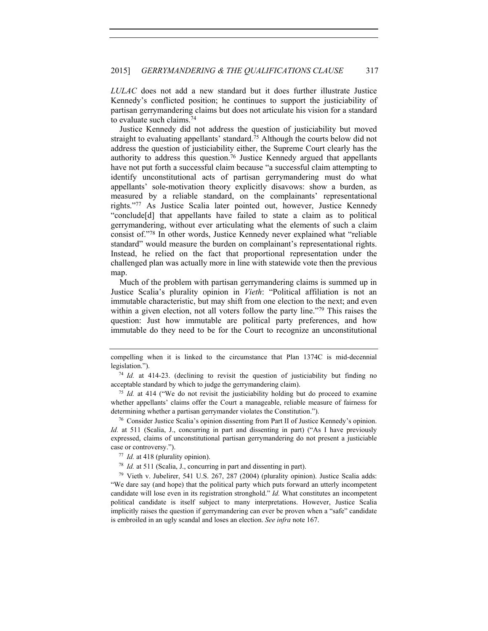*LULAC* does not add a new standard but it does further illustrate Justice Kennedy's conflicted position; he continues to support the justiciability of partisan gerrymandering claims but does not articulate his vision for a standard to evaluate such claims.74

Justice Kennedy did not address the question of justiciability but moved straight to evaluating appellants' standard.75 Although the courts below did not address the question of justiciability either, the Supreme Court clearly has the authority to address this question.76 Justice Kennedy argued that appellants have not put forth a successful claim because "a successful claim attempting to identify unconstitutional acts of partisan gerrymandering must do what appellants' sole-motivation theory explicitly disavows: show a burden, as measured by a reliable standard, on the complainants' representational rights."77 As Justice Scalia later pointed out, however, Justice Kennedy "conclude[d] that appellants have failed to state a claim as to political gerrymandering, without ever articulating what the elements of such a claim consist of."78 In other words, Justice Kennedy never explained what "reliable standard" would measure the burden on complainant's representational rights. Instead, he relied on the fact that proportional representation under the challenged plan was actually more in line with statewide vote then the previous map.

Much of the problem with partisan gerrymandering claims is summed up in Justice Scalia's plurality opinion in *Vieth*: "Political affiliation is not an immutable characteristic, but may shift from one election to the next; and even within a given election, not all voters follow the party line."<sup>79</sup> This raises the question: Just how immutable are political party preferences, and how immutable do they need to be for the Court to recognize an unconstitutional

compelling when it is linked to the circumstance that Plan 1374C is mid-decennial legislation.").

<sup>74</sup> *Id.* at 414-23. (declining to revisit the question of justiciability but finding no acceptable standard by which to judge the gerrymandering claim). 75 *Id.* at 414 ("We do not revisit the justiciability holding but do proceed to examine

whether appellants' claims offer the Court a manageable, reliable measure of fairness for determining whether a partisan gerrymander violates the Constitution.").

<sup>76</sup> Consider Justice Scalia's opinion dissenting from Part II of Justice Kennedy's opinion. Id. at 511 (Scalia, J., concurring in part and dissenting in part) ("As I have previously expressed, claims of unconstitutional partisan gerrymandering do not present a justiciable case or controversy.").

<sup>77</sup> *Id.* at 418 (plurality opinion).

<sup>78</sup> *Id.* at 511 (Scalia, J., concurring in part and dissenting in part).

<sup>79</sup> Vieth v. Jubelirer, 541 U.S. 267, 287 (2004) (plurality opinion). Justice Scalia adds: "We dare say (and hope) that the political party which puts forward an utterly incompetent candidate will lose even in its registration stronghold." *Id.* What constitutes an incompetent political candidate is itself subject to many interpretations. However, Justice Scalia implicitly raises the question if gerrymandering can ever be proven when a "safe" candidate is embroiled in an ugly scandal and loses an election. *See infra* note 167.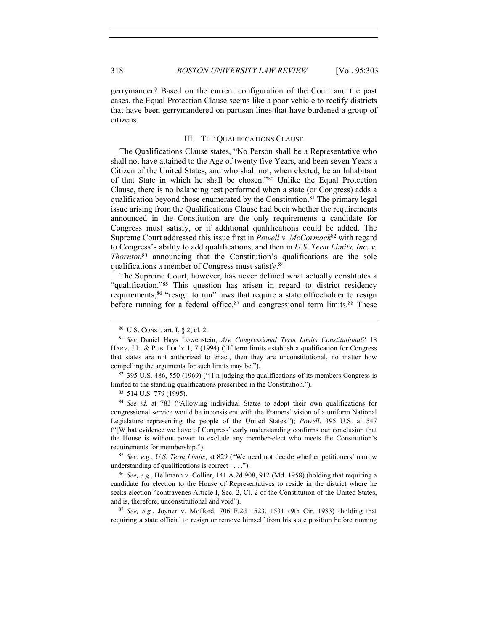gerrymander? Based on the current configuration of the Court and the past cases, the Equal Protection Clause seems like a poor vehicle to rectify districts that have been gerrymandered on partisan lines that have burdened a group of citizens.

#### III. THE QUALIFICATIONS CLAUSE

The Qualifications Clause states, "No Person shall be a Representative who shall not have attained to the Age of twenty five Years, and been seven Years a Citizen of the United States, and who shall not, when elected, be an Inhabitant of that State in which he shall be chosen."80 Unlike the Equal Protection Clause, there is no balancing test performed when a state (or Congress) adds a qualification beyond those enumerated by the Constitution.81 The primary legal issue arising from the Qualifications Clause had been whether the requirements announced in the Constitution are the only requirements a candidate for Congress must satisfy, or if additional qualifications could be added. The Supreme Court addressed this issue first in *Powell v. McCormack*<sup>82</sup> with regard to Congress's ability to add qualifications, and then in *U.S. Term Limits, Inc. v. Thornton*83 announcing that the Constitution's qualifications are the sole qualifications a member of Congress must satisfy.84

The Supreme Court, however, has never defined what actually constitutes a "qualification."85 This question has arisen in regard to district residency requirements,86 "resign to run" laws that require a state officeholder to resign before running for a federal office,  $87$  and congressional term limits.  $88$  These

<sup>85</sup> *See, e.g.*, *U.S. Term Limits*, at 829 ("We need not decide whether petitioners' narrow understanding of qualifications is correct . . . .").

<sup>86</sup> *See, e.g.*, Hellmann v. Collier, 141 A.2d 908, 912 (Md. 1958) (holding that requiring a candidate for election to the House of Representatives to reside in the district where he seeks election "contravenes Article I, Sec. 2, Cl. 2 of the Constitution of the United States, and is, therefore, unconstitutional and void"). 87 *See, e.g.*, Joyner v. Mofford, 706 F.2d 1523, 1531 (9th Cir. 1983) (holding that

requiring a state official to resign or remove himself from his state position before running

<sup>80</sup> U.S. CONST. art. I, § 2, cl. 2.

<sup>81</sup> *See* Daniel Hays Lowenstein, *Are Congressional Term Limits Constitutional?* 18 HARV. J.L. & PUB. POL'Y 1, 7 (1994) ("If term limits establish a qualification for Congress that states are not authorized to enact, then they are unconstitutional, no matter how compelling the arguments for such limits may be.").

<sup>82</sup> 395 U.S. 486, 550 (1969) ("[I]n judging the qualifications of its members Congress is limited to the standing qualifications prescribed in the Constitution."). 83 514 U.S. 779 (1995).

<sup>84</sup> *See id.* at 783 ("Allowing individual States to adopt their own qualifications for congressional service would be inconsistent with the Framers' vision of a uniform National Legislature representing the people of the United States."); *Powell*, 395 U.S. at 547 ("[W]hat evidence we have of Congress' early understanding confirms our conclusion that the House is without power to exclude any member-elect who meets the Constitution's requirements for membership.").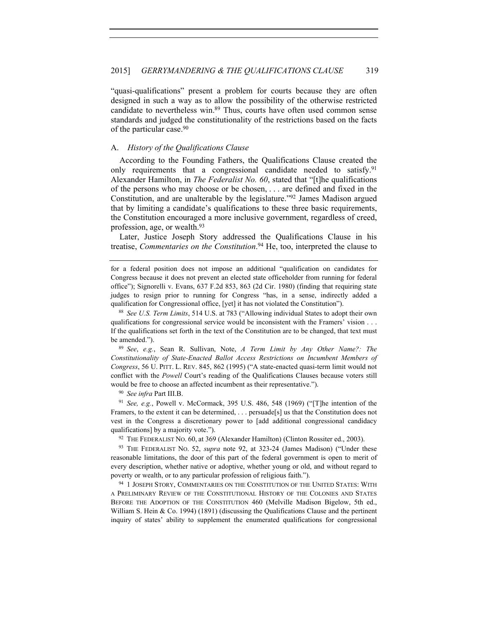"quasi-qualifications" present a problem for courts because they are often designed in such a way as to allow the possibility of the otherwise restricted candidate to nevertheless win.89 Thus, courts have often used common sense standards and judged the constitutionality of the restrictions based on the facts of the particular case.90

#### A. *History of the Qualifications Clause*

According to the Founding Fathers, the Qualifications Clause created the only requirements that a congressional candidate needed to satisfy.<sup>91</sup> Alexander Hamilton, in *The Federalist No. 60*, stated that "[t]he qualifications of the persons who may choose or be chosen, . . . are defined and fixed in the Constitution, and are unalterable by the legislature."92 James Madison argued that by limiting a candidate's qualifications to these three basic requirements, the Constitution encouraged a more inclusive government, regardless of creed, profession, age, or wealth.93

Later, Justice Joseph Story addressed the Qualifications Clause in his treatise, *Commentaries on the Constitution*. 94 He, too, interpreted the clause to

<sup>89</sup> *See*, *e.g.*, Sean R. Sullivan, Note, *A Term Limit by Any Other Name?: The Constitutionality of State-Enacted Ballot Access Restrictions on Incumbent Members of Congress*, 56 U. PITT. L. REV. 845, 862 (1995) ("A state-enacted quasi-term limit would not conflict with the *Powell* Court's reading of the Qualifications Clauses because voters still would be free to choose an affected incumbent as their representative."). 90 *See infra* Part III.B.

<sup>91</sup> *See, e.g.*, Powell v. McCormack, 395 U.S. 486, 548 (1969) ("[T]he intention of the Framers, to the extent it can be determined, . . . persuade[s] us that the Constitution does not vest in the Congress a discretionary power to [add additional congressional candidacy qualifications] by a majority vote.").<br><sup>92</sup> THE FEDERALIST NO. 60, at 369 (Alexander Hamilton) (Clinton Rossiter ed., 2003).<br><sup>93</sup> THE FEDERALIST NO. 52, *supra* note 92, at 323-24 (James Madison) ("Under these

reasonable limitations, the door of this part of the federal government is open to merit of every description, whether native or adoptive, whether young or old, and without regard to poverty or wealth, or to any particular profession of religious faith.").<br><sup>94</sup> 1 JOSEPH STORY, COMMENTARIES ON THE CONSTITUTION OF THE UNITED STATES: WITH

A PRELIMINARY REVIEW OF THE CONSTITUTIONAL HISTORY OF THE COLONIES AND STATES BEFORE THE ADOPTION OF THE CONSTITUTION 460 (Melville Madison Bigelow, 5th ed., William S. Hein & Co. 1994) (1891) (discussing the Qualifications Clause and the pertinent inquiry of states' ability to supplement the enumerated qualifications for congressional

for a federal position does not impose an additional "qualification on candidates for Congress because it does not prevent an elected state officeholder from running for federal office"); Signorelli v. Evans, 637 F.2d 853, 863 (2d Cir. 1980) (finding that requiring state judges to resign prior to running for Congress "has, in a sense, indirectly added a qualification for Congressional office, [yet] it has not violated the Constitution").

<sup>88</sup> *See U.S. Term Limits*, 514 U.S. at 783 ("Allowing individual States to adopt their own qualifications for congressional service would be inconsistent with the Framers' vision . . . If the qualifications set forth in the text of the Constitution are to be changed, that text must be amended.").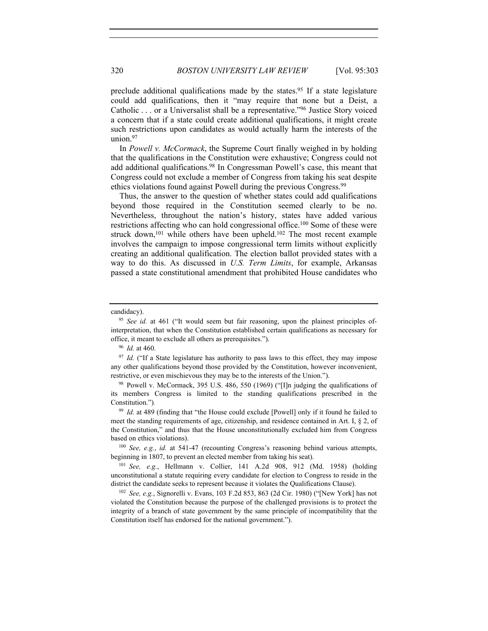preclude additional qualifications made by the states.<sup>95</sup> If a state legislature could add qualifications, then it "may require that none but a Deist, a Catholic . . . or a Universalist shall be a representative."96 Justice Story voiced a concern that if a state could create additional qualifications, it might create such restrictions upon candidates as would actually harm the interests of the union.97

In *Powell v. McCormack*, the Supreme Court finally weighed in by holding that the qualifications in the Constitution were exhaustive; Congress could not add additional qualifications.98 In Congressman Powell's case, this meant that Congress could not exclude a member of Congress from taking his seat despite ethics violations found against Powell during the previous Congress.<sup>99</sup>

Thus, the answer to the question of whether states could add qualifications beyond those required in the Constitution seemed clearly to be no. Nevertheless, throughout the nation's history, states have added various restrictions affecting who can hold congressional office.100 Some of these were struck down,<sup>101</sup> while others have been upheld.<sup>102</sup> The most recent example involves the campaign to impose congressional term limits without explicitly creating an additional qualification. The election ballot provided states with a way to do this. As discussed in *U.S. Term Limits*, for example, Arkansas passed a state constitutional amendment that prohibited House candidates who

beginning in 1807, to prevent an elected member from taking his seat).

violated the Constitution because the purpose of the challenged provisions is to protect the integrity of a branch of state government by the same principle of incompatibility that the Constitution itself has endorsed for the national government.").

candidacy).

<sup>95</sup> *See id.* at 461 ("It would seem but fair reasoning, upon the plainest principles ofinterpretation, that when the Constitution established certain qualifications as necessary for office, it meant to exclude all others as prerequisites."). 96 *Id.* at 460.

<sup>&</sup>lt;sup>97</sup> *Id.* ("If a State legislature has authority to pass laws to this effect, they may impose any other qualifications beyond those provided by the Constitution, however inconvenient, restrictive, or even mischievous they may be to the interests of the Union.").

<sup>98</sup> Powell v. McCormack, 395 U.S. 486, 550 (1969) ("[I]n judging the qualifications of its members Congress is limited to the standing qualifications prescribed in the Constitution.")*.*

<sup>&</sup>lt;sup>99</sup> *Id.* at 489 (finding that "the House could exclude [Powell] only if it found he failed to meet the standing requirements of age, citizenship, and residence contained in Art. I, § 2, of the Constitution," and thus that the House unconstitutionally excluded him from Congress based on ethics violations). 100 *See, e.g.*, *id.* at 541-47 (recounting Congress's reasoning behind various attempts,

<sup>101</sup> *See, e.g.*, Hellmann v. Collier, 141 A.2d 908, 912 (Md. 1958) (holding unconstitutional a statute requiring every candidate for election to Congress to reside in the district the candidate seeks to represent because it violates the Qualifications Clause). 102 *See, e.g.*, Signorelli v. Evans, 103 F.2d 853, 863 (2d Cir. 1980) ("[New York] has not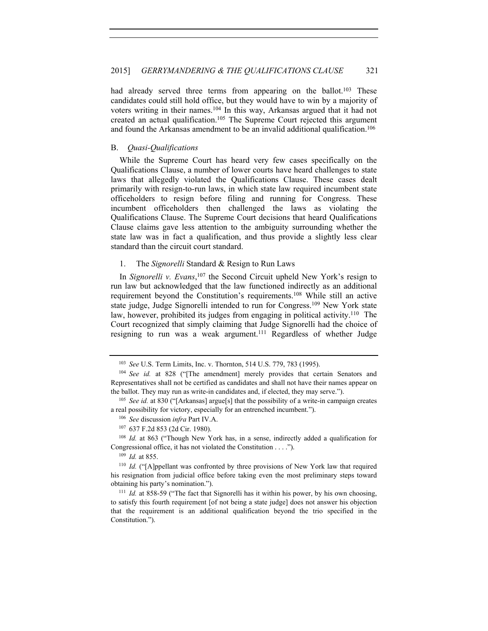had already served three terms from appearing on the ballot.<sup>103</sup> These candidates could still hold office, but they would have to win by a majority of voters writing in their names.104 In this way, Arkansas argued that it had not created an actual qualification.105 The Supreme Court rejected this argument and found the Arkansas amendment to be an invalid additional qualification.<sup>106</sup>

#### B. *Quasi-Qualifications*

While the Supreme Court has heard very few cases specifically on the Qualifications Clause, a number of lower courts have heard challenges to state laws that allegedly violated the Qualifications Clause. These cases dealt primarily with resign-to-run laws, in which state law required incumbent state officeholders to resign before filing and running for Congress. These incumbent officeholders then challenged the laws as violating the Qualifications Clause. The Supreme Court decisions that heard Qualifications Clause claims gave less attention to the ambiguity surrounding whether the state law was in fact a qualification, and thus provide a slightly less clear standard than the circuit court standard.

# 1. The *Signorelli* Standard & Resign to Run Laws

In *Signorelli v. Evans*, 107 the Second Circuit upheld New York's resign to run law but acknowledged that the law functioned indirectly as an additional requirement beyond the Constitution's requirements.108 While still an active state judge, Judge Signorelli intended to run for Congress.109 New York state law, however, prohibited its judges from engaging in political activity.<sup>110</sup> The Court recognized that simply claiming that Judge Signorelli had the choice of resigning to run was a weak argument.<sup>111</sup> Regardless of whether Judge

<sup>103</sup> *See* U.S. Term Limits, Inc. v. Thornton, 514 U.S. 779, 783 (1995).

<sup>104</sup> *See id.* at 828 ("[The amendment] merely provides that certain Senators and Representatives shall not be certified as candidates and shall not have their names appear on the ballot. They may run as write-in candidates and, if elected, they may serve.").<br><sup>105</sup> *See id.* at 830 ("[Arkansas] argue[s] that the possibility of a write-in campaign creates

a real possibility for victory, especially for an entrenched incumbent.").

<sup>106</sup> *See* discussion *infra* Part IV.A. 107 637 F.2d 853 (2d Cir. 1980).

<sup>&</sup>lt;sup>108</sup> *Id.* at 863 ("Though New York has, in a sense, indirectly added a qualification for Congressional office, it has not violated the Constitution . . . .").

<sup>109</sup> *Id.* at 855.

<sup>&</sup>lt;sup>110</sup> *Id.* ("[A]ppellant was confronted by three provisions of New York law that required his resignation from judicial office before taking even the most preliminary steps toward obtaining his party's nomination.").<br><sup>111</sup> *Id.* at 858-59 ("The fact that Signorelli has it within his power, by his own choosing,

to satisfy this fourth requirement [of not being a state judge] does not answer his objection that the requirement is an additional qualification beyond the trio specified in the Constitution.").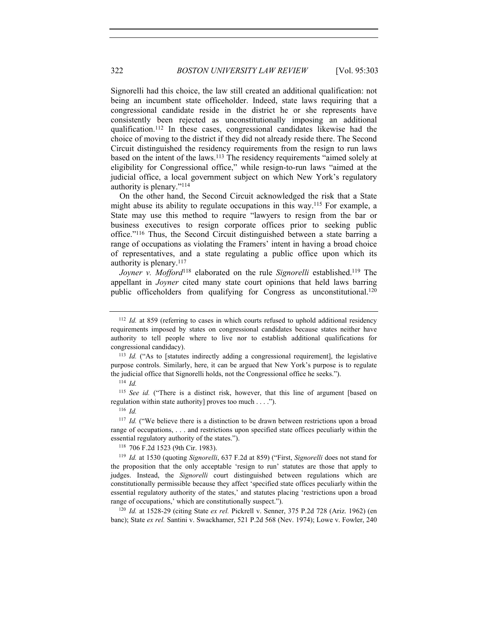Signorelli had this choice, the law still created an additional qualification: not being an incumbent state officeholder. Indeed, state laws requiring that a congressional candidate reside in the district he or she represents have consistently been rejected as unconstitutionally imposing an additional qualification.112 In these cases, congressional candidates likewise had the choice of moving to the district if they did not already reside there. The Second Circuit distinguished the residency requirements from the resign to run laws based on the intent of the laws.113 The residency requirements "aimed solely at eligibility for Congressional office," while resign-to-run laws "aimed at the judicial office, a local government subject on which New York's regulatory authority is plenary."114

On the other hand, the Second Circuit acknowledged the risk that a State might abuse its ability to regulate occupations in this way.115 For example, a State may use this method to require "lawyers to resign from the bar or business executives to resign corporate offices prior to seeking public office."116 Thus, the Second Circuit distinguished between a state barring a range of occupations as violating the Framers' intent in having a broad choice of representatives, and a state regulating a public office upon which its authority is plenary.117

*Joyner v. Mofford*<sup>118</sup> elaborated on the rule *Signorelli* established.<sup>119</sup> The appellant in *Joyner* cited many state court opinions that held laws barring public officeholders from qualifying for Congress as unconstitutional.120

<sup>115</sup> *See id.* ("There is a distinct risk, however, that this line of argument [based on regulation within state authority] proves too much . . . .").

banc); State *ex rel.* Santini v. Swackhamer, 521 P.2d 568 (Nev. 1974); Lowe v. Fowler, 240

<sup>&</sup>lt;sup>112</sup> *Id.* at 859 (referring to cases in which courts refused to uphold additional residency requirements imposed by states on congressional candidates because states neither have authority to tell people where to live nor to establish additional qualifications for congressional candidacy).

<sup>113</sup> *Id.* ("As to [statutes indirectly adding a congressional requirement], the legislative purpose controls. Similarly, here, it can be argued that New York's purpose is to regulate the judicial office that Signorelli holds, not the Congressional office he seeks.").

<sup>114</sup> *Id.*

<sup>116</sup> *Id.*

<sup>&</sup>lt;sup>117</sup> *Id.* ("We believe there is a distinction to be drawn between restrictions upon a broad range of occupations, . . . and restrictions upon specified state offices peculiarly within the essential regulatory authority of the states."). 118 706 F.2d 1523 (9th Cir. 1983).

<sup>119</sup> *Id.* at 1530 (quoting *Signorelli*, 637 F.2d at 859) ("First, *Signorelli* does not stand for the proposition that the only acceptable 'resign to run' statutes are those that apply to judges. Instead, the *Signorelli* court distinguished between regulations which are constitutionally permissible because they affect 'specified state offices peculiarly within the essential regulatory authority of the states,' and statutes placing 'restrictions upon a broad range of occupations,' which are constitutionally suspect.").<br><sup>120</sup> *Id.* at 1528-29 (citing State *ex rel.* Pickrell v. Senner, 375 P.2d 728 (Ariz. 1962) (en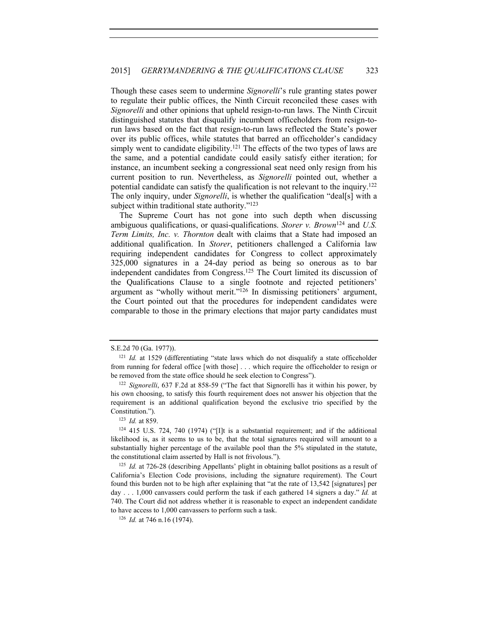Though these cases seem to undermine *Signorelli*'s rule granting states power to regulate their public offices, the Ninth Circuit reconciled these cases with *Signorelli* and other opinions that upheld resign-to-run laws. The Ninth Circuit distinguished statutes that disqualify incumbent officeholders from resign-torun laws based on the fact that resign-to-run laws reflected the State's power over its public offices, while statutes that barred an officeholder's candidacy simply went to candidate eligibility.<sup>121</sup> The effects of the two types of laws are the same, and a potential candidate could easily satisfy either iteration; for instance, an incumbent seeking a congressional seat need only resign from his current position to run. Nevertheless, as *Signorelli* pointed out, whether a potential candidate can satisfy the qualification is not relevant to the inquiry.122 The only inquiry, under *Signorelli*, is whether the qualification "deal[s] with a subject within traditional state authority."<sup>123</sup>

The Supreme Court has not gone into such depth when discussing ambiguous qualifications, or quasi-qualifications. *Storer v. Brown*124 and *U.S. Term Limits, Inc. v. Thornton* dealt with claims that a State had imposed an additional qualification. In *Storer*, petitioners challenged a California law requiring independent candidates for Congress to collect approximately 325,000 signatures in a 24-day period as being so onerous as to bar independent candidates from Congress.125 The Court limited its discussion of the Qualifications Clause to a single footnote and rejected petitioners' argument as "wholly without merit."126 In dismissing petitioners' argument, the Court pointed out that the procedures for independent candidates were comparable to those in the primary elections that major party candidates must

S.E.2d 70 (Ga. 1977)).

<sup>&</sup>lt;sup>121</sup> *Id.* at 1529 (differentiating "state laws which do not disqualify a state officeholder from running for federal office [with those] . . . which require the officeholder to resign or be removed from the state office should he seek election to Congress").

<sup>122</sup> *Signorelli*, 637 F.2d at 858-59 ("The fact that Signorelli has it within his power, by his own choosing, to satisfy this fourth requirement does not answer his objection that the requirement is an additional qualification beyond the exclusive trio specified by the Constitution.").

<sup>123</sup> *Id.* at 859.

<sup>124</sup> 415 U.S. 724, 740 (1974) ("[I]t is a substantial requirement; and if the additional likelihood is, as it seems to us to be, that the total signatures required will amount to a substantially higher percentage of the available pool than the 5% stipulated in the statute, the constitutional claim asserted by Hall is not frivolous.").

<sup>125</sup> *Id.* at 726-28 (describing Appellants' plight in obtaining ballot positions as a result of California's Election Code provisions, including the signature requirement). The Court found this burden not to be high after explaining that "at the rate of 13,542 [signatures] per day . . . 1,000 canvassers could perform the task if each gathered 14 signers a day." *Id.* at 740. The Court did not address whether it is reasonable to expect an independent candidate to have access to 1,000 canvassers to perform such a task. 126 *Id.* at 746 n.16 (1974).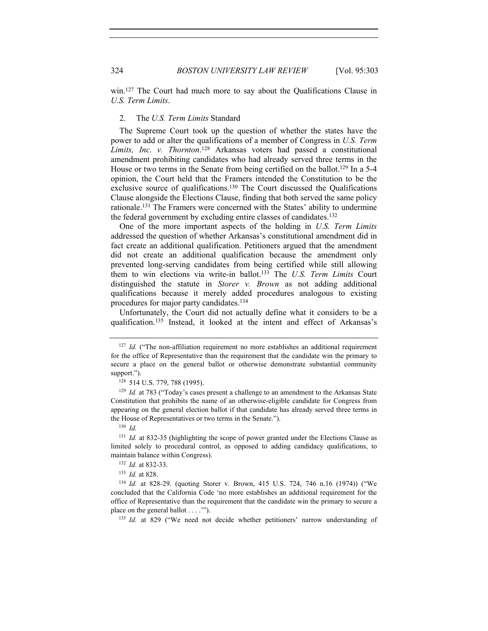win.<sup>127</sup> The Court had much more to say about the Qualifications Clause in *U.S. Term Limits*.

# 2. The *U.S. Term Limits* Standard

The Supreme Court took up the question of whether the states have the power to add or alter the qualifications of a member of Congress in *U.S. Term Limits, Inc. v. Thornton*. 128 Arkansas voters had passed a constitutional amendment prohibiting candidates who had already served three terms in the House or two terms in the Senate from being certified on the ballot.<sup>129</sup> In a 5-4 opinion, the Court held that the Framers intended the Constitution to be the exclusive source of qualifications.<sup>130</sup> The Court discussed the Qualifications Clause alongside the Elections Clause, finding that both served the same policy rationale.131 The Framers were concerned with the States' ability to undermine the federal government by excluding entire classes of candidates.132

One of the more important aspects of the holding in *U.S. Term Limits* addressed the question of whether Arkansas's constitutional amendment did in fact create an additional qualification. Petitioners argued that the amendment did not create an additional qualification because the amendment only prevented long-serving candidates from being certified while still allowing them to win elections via write-in ballot.133 The *U.S. Term Limits* Court distinguished the statute in *Storer v. Brown* as not adding additional qualifications because it merely added procedures analogous to existing procedures for major party candidates.134

Unfortunately, the Court did not actually define what it considers to be a qualification.135 Instead, it looked at the intent and effect of Arkansas's

<sup>133</sup> *Id.* at 828.

<sup>134</sup> *Id.* at 828-29. (quoting Storer v. Brown, 415 U.S. 724, 746 n.16 (1974)) ("We concluded that the California Code 'no more establishes an additional requirement for the office of Representative than the requirement that the candidate win the primary to secure a place on the general ballot . . . .<sup>'''</sup>).<br><sup>135</sup> *Id.* at 829 ("We need not decide whether petitioners' narrow understanding of

<sup>&</sup>lt;sup>127</sup> *Id.* ("The non-affiliation requirement no more establishes an additional requirement for the office of Representative than the requirement that the candidate win the primary to secure a place on the general ballot or otherwise demonstrate substantial community support.").

<sup>128</sup> 514 U.S. 779, 788 (1995).

<sup>129</sup> *Id.* at 783 ("Today's cases present a challenge to an amendment to the Arkansas State Constitution that prohibits the name of an otherwise-eligible candidate for Congress from appearing on the general election ballot if that candidate has already served three terms in the House of Representatives or two terms in the Senate.").

<sup>130</sup> *Id.*

<sup>131</sup> *Id.* at 832-35 (highlighting the scope of power granted under the Elections Clause as limited solely to procedural control, as opposed to adding candidacy qualifications, to maintain balance within Congress). 132 *Id.* at 832-33.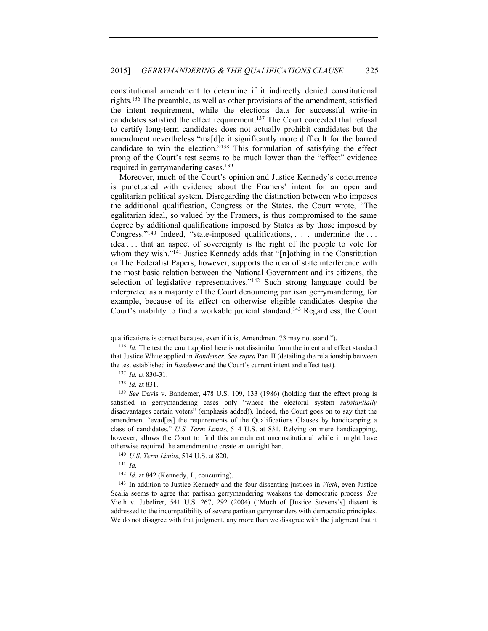constitutional amendment to determine if it indirectly denied constitutional rights.136 The preamble, as well as other provisions of the amendment, satisfied the intent requirement, while the elections data for successful write-in candidates satisfied the effect requirement.137 The Court conceded that refusal to certify long-term candidates does not actually prohibit candidates but the amendment nevertheless "ma[d]e it significantly more difficult for the barred candidate to win the election."138 This formulation of satisfying the effect prong of the Court's test seems to be much lower than the "effect" evidence required in gerrymandering cases.<sup>139</sup>

Moreover, much of the Court's opinion and Justice Kennedy's concurrence is punctuated with evidence about the Framers' intent for an open and egalitarian political system. Disregarding the distinction between who imposes the additional qualification, Congress or the States, the Court wrote, "The egalitarian ideal, so valued by the Framers, is thus compromised to the same degree by additional qualifications imposed by States as by those imposed by Congress."140 Indeed, "state-imposed qualifications, . . . undermine the . . . idea . . . that an aspect of sovereignty is the right of the people to vote for whom they wish."<sup>141</sup> Justice Kennedy adds that "[n]othing in the Constitution or The Federalist Papers, however, supports the idea of state interference with the most basic relation between the National Government and its citizens, the selection of legislative representatives."142 Such strong language could be interpreted as a majority of the Court denouncing partisan gerrymandering, for example, because of its effect on otherwise eligible candidates despite the Court's inability to find a workable judicial standard.143 Regardless, the Court

<sup>142</sup> *Id.* at 842 (Kennedy, J., concurring).

<sup>143</sup> In addition to Justice Kennedy and the four dissenting justices in *Vieth*, even Justice Scalia seems to agree that partisan gerrymandering weakens the democratic process. *See* Vieth v. Jubelirer, 541 U.S. 267, 292 (2004) ("Much of [Justice Stevens's] dissent is addressed to the incompatibility of severe partisan gerrymanders with democratic principles. We do not disagree with that judgment, any more than we disagree with the judgment that it

qualifications is correct because, even if it is, Amendment 73 may not stand.").<br><sup>136</sup> *Id.* The test the court applied here is not dissimilar from the intent and effect standard

that Justice White applied in *Bandemer*. *See supra* Part II (detailing the relationship between the test established in *Bandemer* and the Court's current intent and effect test). 137 *Id.* at 830-31.

<sup>&</sup>lt;sup>138</sup> *Id.* at 831.<br><sup>139</sup> *See* Davis v. Bandemer, 478 U.S. 109, 133 (1986) (holding that the effect prong is satisfied in gerrymandering cases only "where the electoral system *substantially* disadvantages certain voters" (emphasis added)). Indeed, the Court goes on to say that the amendment "evad[es] the requirements of the Qualifications Clauses by handicapping a class of candidates." *U.S. Term Limits*, 514 U.S. at 831. Relying on mere handicapping, however, allows the Court to find this amendment unconstitutional while it might have otherwise required the amendment to create an outright ban. 140 *U.S. Term Limits*, 514 U.S. at 820.

<sup>141</sup> *Id.*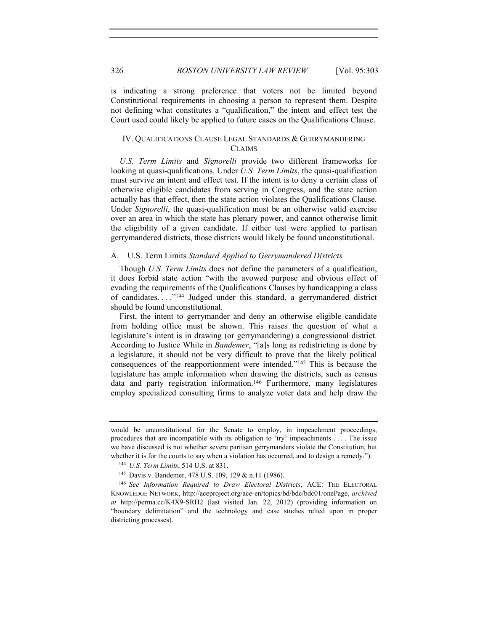is indicating a strong preference that voters not be limited beyond Constitutional requirements in choosing a person to represent them. Despite not defining what constitutes a "qualification," the intent and effect test the Court used could likely be applied to future cases on the Qualifications Clause.

# IV. QUALIFICATIONS CLAUSE LEGAL STANDARDS & GERRYMANDERING CLAIMS

*U.S. Term Limits* and *Signorelli* provide two different frameworks for looking at quasi-qualifications. Under *U.S. Term Limits*, the quasi-qualification must survive an intent and effect test. If the intent is to deny a certain class of otherwise eligible candidates from serving in Congress, and the state action actually has that effect, then the state action violates the Qualifications Clause. Under *Signorelli*, the quasi-qualification must be an otherwise valid exercise over an area in which the state has plenary power, and cannot otherwise limit the eligibility of a given candidate. If either test were applied to partisan gerrymandered districts, those districts would likely be found unconstitutional.

#### A. U.S. Term Limits *Standard Applied to Gerrymandered Districts*

Though *U.S. Term Limits* does not define the parameters of a qualification, it does forbid state action "with the avowed purpose and obvious effect of evading the requirements of the Qualifications Clauses by handicapping a class of candidates. . . ."144 Judged under this standard, a gerrymandered district should be found unconstitutional.

First, the intent to gerrymander and deny an otherwise eligible candidate from holding office must be shown. This raises the question of what a legislature's intent is in drawing (or gerrymandering) a congressional district. According to Justice White in *Bandemer*, "[a]s long as redistricting is done by a legislature, it should not be very difficult to prove that the likely political consequences of the reapportionment were intended."145 This is because the legislature has ample information when drawing the districts, such as census data and party registration information.<sup>146</sup> Furthermore, many legislatures employ specialized consulting firms to analyze voter data and help draw the

would be unconstitutional for the Senate to employ, in impeachment proceedings, procedures that are incompatible with its obligation to 'try' impeachments . . . . The issue we have discussed is not whether severe partisan gerrymanders violate the Constitution, but whether it is for the courts to say when a violation has occurred, and to design a remedy.").<br><sup>144</sup> *U.S. Term Limits*, 514 U.S. at 831.

<sup>145</sup> Davis v. Bandemer, 478 U.S. 109, 129 & n.11 (1986).

<sup>146</sup> *See Information Required to Draw Electoral Districts*, ACE: THE ELECTORAL KNOWLEDGE NETWORK, http://aceproject.org/ace-en/topics/bd/bdc/bdc01/onePage, *archived at* http://perma.cc/K4X9-SRH2 (last visited Jan. 22, 2012) (providing information on "boundary delimitation" and the technology and case studies relied upon in proper districting processes).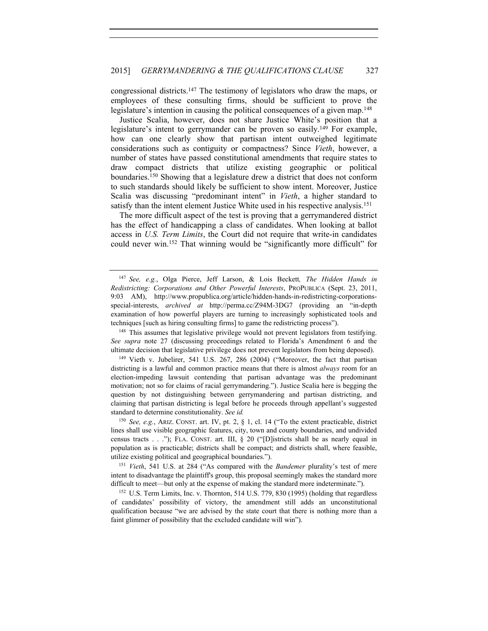congressional districts.147 The testimony of legislators who draw the maps, or employees of these consulting firms, should be sufficient to prove the legislature's intention in causing the political consequences of a given map.<sup>148</sup>

Justice Scalia, however, does not share Justice White's position that a legislature's intent to gerrymander can be proven so easily.149 For example, how can one clearly show that partisan intent outweighed legitimate considerations such as contiguity or compactness? Since *Vieth*, however, a number of states have passed constitutional amendments that require states to draw compact districts that utilize existing geographic or political boundaries.150 Showing that a legislature drew a district that does not conform to such standards should likely be sufficient to show intent. Moreover, Justice Scalia was discussing "predominant intent" in *Vieth*, a higher standard to satisfy than the intent element Justice White used in his respective analysis.<sup>151</sup>

The more difficult aspect of the test is proving that a gerrymandered district has the effect of handicapping a class of candidates. When looking at ballot access in *U.S. Term Limits*, the Court did not require that write-in candidates could never win.152 That winning would be "significantly more difficult" for

<sup>150</sup> *See, e.g.*, ARIZ. CONST. art. IV, pt. 2, § 1, cl. 14 ("To the extent practicable, district lines shall use visible geographic features, city, town and county boundaries, and undivided census tracts  $\dots$ "); FLA. CONST. art. III, § 20 ("[D]istricts shall be as nearly equal in population as is practicable; districts shall be compact; and districts shall, where feasible, utilize existing political and geographical boundaries.").

<sup>151</sup> *Vieth*, 541 U.S. at 284 ("As compared with the *Bandemer* plurality's test of mere intent to disadvantage the plaintiff's group, this proposal seemingly makes the standard more difficult to meet—but only at the expense of making the standard more indeterminate.").<br><sup>152</sup> U.S. Term Limits, Inc. v. Thornton, 514 U.S. 779, 830 (1995) (holding that regardless

of candidates' possibility of victory, the amendment still adds an unconstitutional qualification because "we are advised by the state court that there is nothing more than a faint glimmer of possibility that the excluded candidate will win").

<sup>147</sup> *See, e.g.*, Olga Pierce, Jeff Larson, & Lois Beckett*, The Hidden Hands in Redistricting: Corporations and Other Powerful Interests*, PROPUBLICA (Sept. 23, 2011, 9:03 AM), http://www.propublica.org/article/hidden-hands-in-redistricting-corporationsspecial-interests, *archived at* http://perma.cc/Z94M-3DG7 (providing an "in-depth examination of how powerful players are turning to increasingly sophisticated tools and techniques [such as hiring consulting firms] to game the redistricting process").

<sup>&</sup>lt;sup>148</sup> This assumes that legislative privilege would not prevent legislators from testifying. *See supra* note 27 (discussing proceedings related to Florida's Amendment 6 and the ultimate decision that legislative privilege does not prevent legislators from being deposed).

<sup>149</sup> Vieth v. Jubelirer, 541 U.S. 267, 286 (2004) ("Moreover, the fact that partisan districting is a lawful and common practice means that there is almost *always* room for an election-impeding lawsuit contending that partisan advantage was the predominant motivation; not so for claims of racial gerrymandering."). Justice Scalia here is begging the question by not distinguishing between gerrymandering and partisan districting, and claiming that partisan districting is legal before he proceeds through appellant's suggested standard to determine constitutionality. *See id.*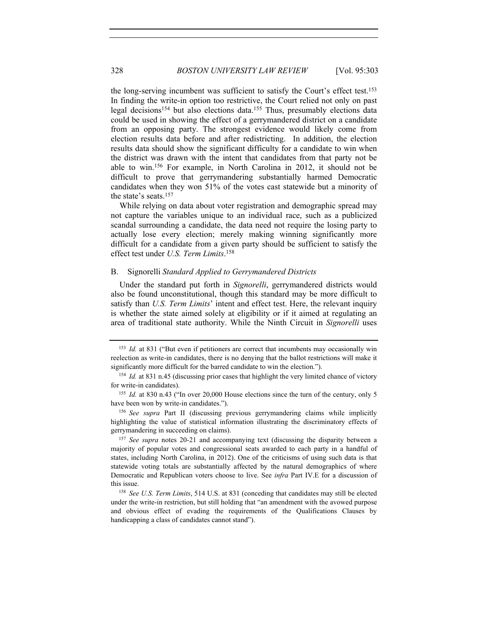the long-serving incumbent was sufficient to satisfy the Court's effect test.<sup>153</sup> In finding the write-in option too restrictive, the Court relied not only on past legal decisions154 but also elections data.155 Thus, presumably elections data could be used in showing the effect of a gerrymandered district on a candidate from an opposing party. The strongest evidence would likely come from election results data before and after redistricting. In addition, the election results data should show the significant difficulty for a candidate to win when the district was drawn with the intent that candidates from that party not be able to win.156 For example, in North Carolina in 2012, it should not be difficult to prove that gerrymandering substantially harmed Democratic candidates when they won 51% of the votes cast statewide but a minority of the state's seats.<sup>157</sup>

While relying on data about voter registration and demographic spread may not capture the variables unique to an individual race, such as a publicized scandal surrounding a candidate, the data need not require the losing party to actually lose every election; merely making winning significantly more difficult for a candidate from a given party should be sufficient to satisfy the effect test under *U.S. Term Limits*. 158

# B. Signorelli *Standard Applied to Gerrymandered Districts*

Under the standard put forth in *Signorelli*, gerrymandered districts would also be found unconstitutional, though this standard may be more difficult to satisfy than *U.S. Term Limits*' intent and effect test. Here, the relevant inquiry is whether the state aimed solely at eligibility or if it aimed at regulating an area of traditional state authority. While the Ninth Circuit in *Signorelli* uses

<sup>153</sup> *Id.* at 831 ("But even if petitioners are correct that incumbents may occasionally win reelection as write-in candidates, there is no denying that the ballot restrictions will make it significantly more difficult for the barred candidate to win the election.").

<sup>154</sup> *Id.* at 831 n.45 (discussing prior cases that highlight the very limited chance of victory for write-in candidates).

<sup>&</sup>lt;sup>155</sup> *Id.* at 830 n.43 ("In over 20,000 House elections since the turn of the century, only 5 have been won by write-in candidates."). 156 *See supra* Part II (discussing previous gerrymandering claims while implicitly

highlighting the value of statistical information illustrating the discriminatory effects of gerrymandering in succeeding on claims).

<sup>157</sup> *See supra* notes 20-21 and accompanying text (discussing the disparity between a majority of popular votes and congressional seats awarded to each party in a handful of states, including North Carolina, in 2012). One of the criticisms of using such data is that statewide voting totals are substantially affected by the natural demographics of where Democratic and Republican voters choose to live. See *infra* Part IV.E for a discussion of this issue. 158 *See U.S. Term Limits*, 514 U.S. at 831 (conceding that candidates may still be elected

under the write-in restriction, but still holding that "an amendment with the avowed purpose and obvious effect of evading the requirements of the Qualifications Clauses by handicapping a class of candidates cannot stand").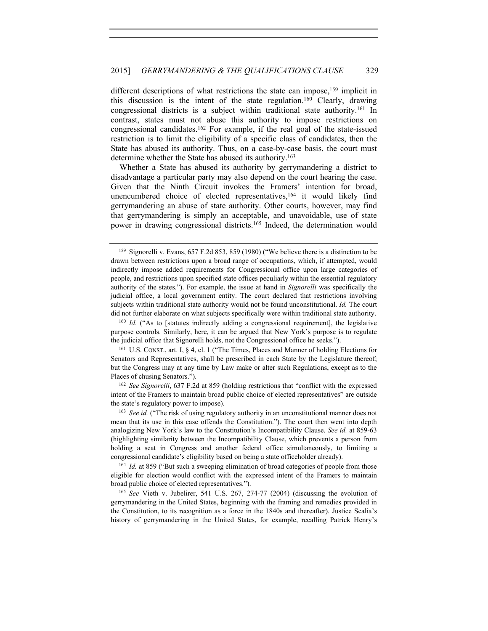different descriptions of what restrictions the state can impose,<sup>159</sup> implicit in this discussion is the intent of the state regulation.160 Clearly, drawing congressional districts is a subject within traditional state authority.161 In contrast, states must not abuse this authority to impose restrictions on congressional candidates.162 For example, if the real goal of the state-issued restriction is to limit the eligibility of a specific class of candidates, then the State has abused its authority. Thus, on a case-by-case basis, the court must determine whether the State has abused its authority.163

Whether a State has abused its authority by gerrymandering a district to disadvantage a particular party may also depend on the court hearing the case. Given that the Ninth Circuit invokes the Framers' intention for broad, unencumbered choice of elected representatives,<sup>164</sup> it would likely find gerrymandering an abuse of state authority. Other courts, however, may find that gerrymandering is simply an acceptable, and unavoidable, use of state power in drawing congressional districts.<sup>165</sup> Indeed, the determination would

<sup>159</sup> Signorelli v. Evans, 657 F.2d 853, 859 (1980) ("We believe there is a distinction to be drawn between restrictions upon a broad range of occupations, which, if attempted, would indirectly impose added requirements for Congressional office upon large categories of people, and restrictions upon specified state offices peculiarly within the essential regulatory authority of the states."). For example, the issue at hand in *Signorelli* was specifically the judicial office, a local government entity. The court declared that restrictions involving subjects within traditional state authority would not be found unconstitutional. *Id.* The court did not further elaborate on what subjects specifically were within traditional state authority.

<sup>&</sup>lt;sup>160</sup> *Id.* ("As to [statutes indirectly adding a congressional requirement], the legislative purpose controls. Similarly, here, it can be argued that New York's purpose is to regulate the judicial office that Signorelli holds, not the Congressional office he seeks.").

<sup>161</sup> U.S. CONST., art. I, § 4, cl. 1 ("The Times, Places and Manner of holding Elections for Senators and Representatives, shall be prescribed in each State by the Legislature thereof; but the Congress may at any time by Law make or alter such Regulations, except as to the Places of chusing Senators."). 162 *See Signorelli*, 637 F.2d at 859 (holding restrictions that "conflict with the expressed

intent of the Framers to maintain broad public choice of elected representatives" are outside the state's regulatory power to impose). 163 *See id.* ("The risk of using regulatory authority in an unconstitutional manner does not

mean that its use in this case offends the Constitution."). The court then went into depth analogizing New York's law to the Constitution's Incompatibility Clause. *See id.* at 859-63 (highlighting similarity between the Incompatibility Clause, which prevents a person from holding a seat in Congress and another federal office simultaneously, to limiting a congressional candidate's eligibility based on being a state officeholder already).

<sup>164</sup> *Id.* at 859 ("But such a sweeping elimination of broad categories of people from those eligible for election would conflict with the expressed intent of the Framers to maintain broad public choice of elected representatives."). 165 *See* Vieth v. Jubelirer, 541 U.S. 267, 274-77 (2004) (discussing the evolution of

gerrymandering in the United States, beginning with the framing and remedies provided in the Constitution, to its recognition as a force in the 1840s and thereafter). Justice Scalia's history of gerrymandering in the United States, for example, recalling Patrick Henry's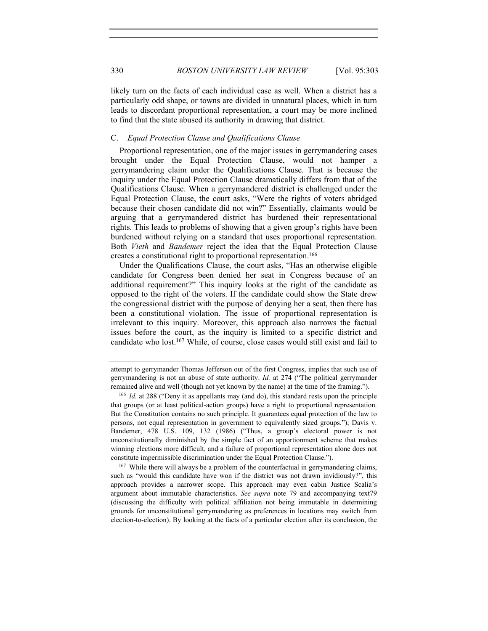330 *BOSTON UNIVERSITY LAW REVIEW* [Vol. 95:303

likely turn on the facts of each individual case as well. When a district has a particularly odd shape, or towns are divided in unnatural places, which in turn leads to discordant proportional representation, a court may be more inclined to find that the state abused its authority in drawing that district.

#### C. *Equal Protection Clause and Qualifications Clause*

Proportional representation, one of the major issues in gerrymandering cases brought under the Equal Protection Clause, would not hamper a gerrymandering claim under the Qualifications Clause. That is because the inquiry under the Equal Protection Clause dramatically differs from that of the Qualifications Clause. When a gerrymandered district is challenged under the Equal Protection Clause, the court asks, "Were the rights of voters abridged because their chosen candidate did not win?" Essentially, claimants would be arguing that a gerrymandered district has burdened their representational rights. This leads to problems of showing that a given group's rights have been burdened without relying on a standard that uses proportional representation. Both *Vieth* and *Bandemer* reject the idea that the Equal Protection Clause creates a constitutional right to proportional representation.166

Under the Qualifications Clause, the court asks, "Has an otherwise eligible candidate for Congress been denied her seat in Congress because of an additional requirement?" This inquiry looks at the right of the candidate as opposed to the right of the voters. If the candidate could show the State drew the congressional district with the purpose of denying her a seat, then there has been a constitutional violation. The issue of proportional representation is irrelevant to this inquiry. Moreover, this approach also narrows the factual issues before the court, as the inquiry is limited to a specific district and candidate who lost.167 While, of course, close cases would still exist and fail to

such as "would this candidate have won if the district was not drawn invidiously?", this approach provides a narrower scope. This approach may even cabin Justice Scalia's argument about immutable characteristics. *See supra* note 79 and accompanying text79 (discussing the difficulty with political affiliation not being immutable in determining grounds for unconstitutional gerrymandering as preferences in locations may switch from election-to-election). By looking at the facts of a particular election after its conclusion, the

attempt to gerrymander Thomas Jefferson out of the first Congress, implies that such use of gerrymandering is not an abuse of state authority. *Id.* at 274 ("The political gerrymander remained alive and well (though not yet known by the name) at the time of the framing."). 166 *Id.* at 288 ("Deny it as appellants may (and do), this standard rests upon the principle

that groups (or at least political-action groups) have a right to proportional representation. But the Constitution contains no such principle. It guarantees equal protection of the law to persons, not equal representation in government to equivalently sized groups."); Davis v. Bandemer, 478 U.S. 109, 132 (1986) ("Thus, a group's electoral power is not unconstitutionally diminished by the simple fact of an apportionment scheme that makes winning elections more difficult, and a failure of proportional representation alone does not constitute impermissible discrimination under the Equal Protection Clause."). 167 While there will always be a problem of the counterfactual in gerrymandering claims,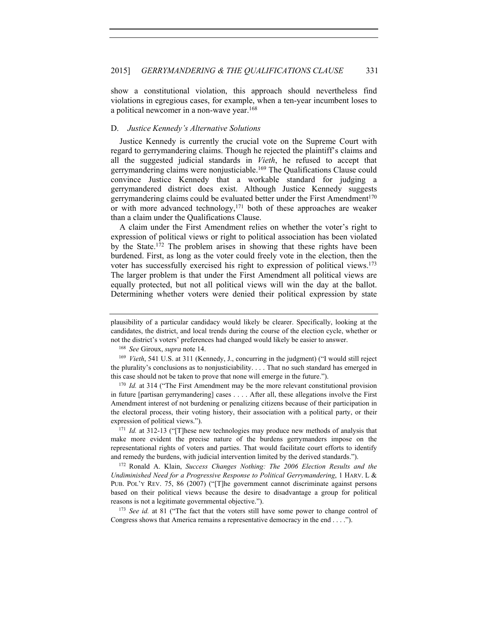show a constitutional violation, this approach should nevertheless find violations in egregious cases, for example, when a ten-year incumbent loses to a political newcomer in a non-wave year.168

# D. *Justice Kennedy's Alternative Solutions*

Justice Kennedy is currently the crucial vote on the Supreme Court with regard to gerrymandering claims. Though he rejected the plaintiff's claims and all the suggested judicial standards in *Vieth*, he refused to accept that gerrymandering claims were nonjusticiable.169 The Qualifications Clause could convince Justice Kennedy that a workable standard for judging a gerrymandered district does exist. Although Justice Kennedy suggests gerrymandering claims could be evaluated better under the First Amendment<sup>170</sup> or with more advanced technology,171 both of these approaches are weaker than a claim under the Qualifications Clause.

A claim under the First Amendment relies on whether the voter's right to expression of political views or right to political association has been violated by the State.172 The problem arises in showing that these rights have been burdened. First, as long as the voter could freely vote in the election, then the voter has successfully exercised his right to expression of political views.173 The larger problem is that under the First Amendment all political views are equally protected, but not all political views will win the day at the ballot. Determining whether voters were denied their political expression by state

<sup>170</sup> *Id.* at 314 ("The First Amendment may be the more relevant constitutional provision in future [partisan gerrymandering] cases . . . . After all, these allegations involve the First Amendment interest of not burdening or penalizing citizens because of their participation in the electoral process, their voting history, their association with a political party, or their expression of political views.").

<sup>171</sup> *Id.* at 312-13 ("[T]hese new technologies may produce new methods of analysis that make more evident the precise nature of the burdens gerrymanders impose on the representational rights of voters and parties. That would facilitate court efforts to identify and remedy the burdens, with judicial intervention limited by the derived standards.").

<sup>172</sup> Ronald A. Klain, *Success Changes Nothing: The 2006 Election Results and the Undiminished Need for a Progressive Response to Political Gerrymandering*, 1 HARV. L & PUB. POL'Y REV. 75, 86 (2007) ("[T]he government cannot discriminate against persons based on their political views because the desire to disadvantage a group for political reasons is not a legitimate governmental objective."). 173 *See id.* at 81 ("The fact that the voters still have some power to change control of

Congress shows that America remains a representative democracy in the end . . . .").

plausibility of a particular candidacy would likely be clearer. Specifically, looking at the candidates, the district, and local trends during the course of the election cycle, whether or not the district's voters' preferences had changed would likely be easier to answer.

<sup>168</sup> *See* Giroux, *supra* note 14.

<sup>169</sup> *Vieth*, 541 U.S. at 311 (Kennedy, J., concurring in the judgment) ("I would still reject the plurality's conclusions as to nonjusticiability. . . . That no such standard has emerged in this case should not be taken to prove that none will emerge in the future.").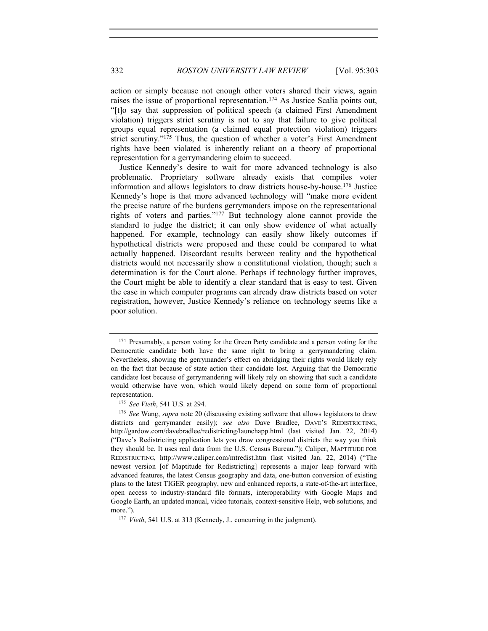action or simply because not enough other voters shared their views, again raises the issue of proportional representation.174 As Justice Scalia points out, "[t]o say that suppression of political speech (a claimed First Amendment violation) triggers strict scrutiny is not to say that failure to give political groups equal representation (a claimed equal protection violation) triggers strict scrutiny."<sup>175</sup> Thus, the question of whether a voter's First Amendment rights have been violated is inherently reliant on a theory of proportional representation for a gerrymandering claim to succeed.

Justice Kennedy's desire to wait for more advanced technology is also problematic. Proprietary software already exists that compiles voter information and allows legislators to draw districts house-by-house.176 Justice Kennedy's hope is that more advanced technology will "make more evident the precise nature of the burdens gerrymanders impose on the representational rights of voters and parties."177 But technology alone cannot provide the standard to judge the district; it can only show evidence of what actually happened. For example, technology can easily show likely outcomes if hypothetical districts were proposed and these could be compared to what actually happened. Discordant results between reality and the hypothetical districts would not necessarily show a constitutional violation, though; such a determination is for the Court alone. Perhaps if technology further improves, the Court might be able to identify a clear standard that is easy to test. Given the ease in which computer programs can already draw districts based on voter registration, however, Justice Kennedy's reliance on technology seems like a poor solution.

<sup>&</sup>lt;sup>174</sup> Presumably, a person voting for the Green Party candidate and a person voting for the Democratic candidate both have the same right to bring a gerrymandering claim. Nevertheless, showing the gerrymander's effect on abridging their rights would likely rely on the fact that because of state action their candidate lost. Arguing that the Democratic candidate lost because of gerrymandering will likely rely on showing that such a candidate would otherwise have won, which would likely depend on some form of proportional representation.

<sup>175</sup> *See Vieth*, 541 U.S. at 294.

<sup>176</sup> *See* Wang, *supra* note 20 (discussing existing software that allows legislators to draw districts and gerrymander easily); *see also* Dave Bradlee, DAVE'S REDISTRICTING, http://gardow.com/davebradlee/redistricting/launchapp.html (last visited Jan. 22, 2014) ("Dave's Redistricting application lets you draw congressional districts the way you think they should be. It uses real data from the U.S. Census Bureau."); Caliper, MAPTITUDE FOR REDISTRICTING, http://www.caliper.com/mtredist.htm (last visited Jan. 22, 2014) ("The newest version [of Maptitude for Redistricting] represents a major leap forward with advanced features, the latest Census geography and data, one-button conversion of existing plans to the latest TIGER geography, new and enhanced reports, a state-of-the-art interface, open access to industry-standard file formats, interoperability with Google Maps and Google Earth, an updated manual, video tutorials, context-sensitive Help, web solutions, and more.").<br><sup>177</sup> *Vieth*, 541 U.S. at 313 (Kennedy, J., concurring in the judgment).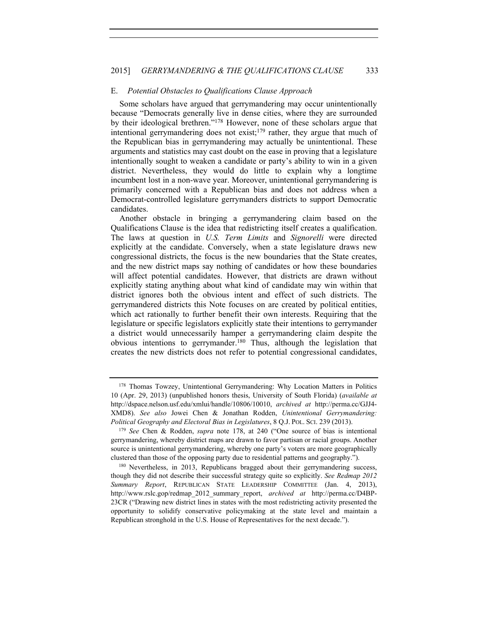# E. *Potential Obstacles to Qualifications Clause Approach*

Some scholars have argued that gerrymandering may occur unintentionally because "Democrats generally live in dense cities, where they are surrounded by their ideological brethren."178 However, none of these scholars argue that intentional gerrymandering does not exist;179 rather, they argue that much of the Republican bias in gerrymandering may actually be unintentional. These arguments and statistics may cast doubt on the ease in proving that a legislature intentionally sought to weaken a candidate or party's ability to win in a given district. Nevertheless, they would do little to explain why a longtime incumbent lost in a non-wave year. Moreover, unintentional gerrymandering is primarily concerned with a Republican bias and does not address when a Democrat-controlled legislature gerrymanders districts to support Democratic candidates.

Another obstacle in bringing a gerrymandering claim based on the Qualifications Clause is the idea that redistricting itself creates a qualification. The laws at question in *U.S. Term Limits* and *Signorelli* were directed explicitly at the candidate. Conversely, when a state legislature draws new congressional districts, the focus is the new boundaries that the State creates, and the new district maps say nothing of candidates or how these boundaries will affect potential candidates. However, that districts are drawn without explicitly stating anything about what kind of candidate may win within that district ignores both the obvious intent and effect of such districts. The gerrymandered districts this Note focuses on are created by political entities, which act rationally to further benefit their own interests. Requiring that the legislature or specific legislators explicitly state their intentions to gerrymander a district would unnecessarily hamper a gerrymandering claim despite the obvious intentions to gerrymander.180 Thus, although the legislation that creates the new districts does not refer to potential congressional candidates,

<sup>178</sup> Thomas Towzey, Unintentional Gerrymandering: Why Location Matters in Politics 10 (Apr. 29, 2013) (unpublished honors thesis, University of South Florida) (*available at* http://dspace.nelson.usf.edu/xmlui/handle/10806/10010, *archived at* http://perma.cc/GJJ4- XMD8). *See also* Jowei Chen & Jonathan Rodden, *Unintentional Gerrymandering: Political Geography and Electoral Bias in Legislatures*, 8 Q.J. POL. SCI. 239 (2013). 179 *See* Chen & Rodden, *supra* note 178, at 240 ("One source of bias is intentional

gerrymandering, whereby district maps are drawn to favor partisan or racial groups. Another source is unintentional gerrymandering, whereby one party's voters are more geographically clustered than those of the opposing party due to residential patterns and geography."). 180 Nevertheless, in 2013, Republicans bragged about their gerrymandering success,

though they did not describe their successful strategy quite so explicitly. *See Redmap 2012 Summary Report*, REPUBLICAN STATE LEADERSHIP COMMITTEE (Jan. 4, 2013), http://www.rslc.gop/redmap\_2012\_summary\_report, *archived at* http://perma.cc/D4BP-23CR ("Drawing new district lines in states with the most redistricting activity presented the opportunity to solidify conservative policymaking at the state level and maintain a Republican stronghold in the U.S. House of Representatives for the next decade.").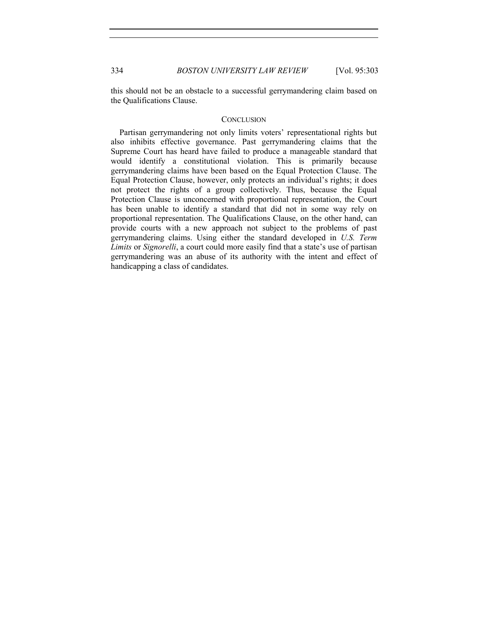this should not be an obstacle to a successful gerrymandering claim based on the Qualifications Clause.

# **CONCLUSION**

Partisan gerrymandering not only limits voters' representational rights but also inhibits effective governance. Past gerrymandering claims that the Supreme Court has heard have failed to produce a manageable standard that would identify a constitutional violation. This is primarily because gerrymandering claims have been based on the Equal Protection Clause. The Equal Protection Clause, however, only protects an individual's rights; it does not protect the rights of a group collectively. Thus, because the Equal Protection Clause is unconcerned with proportional representation, the Court has been unable to identify a standard that did not in some way rely on proportional representation. The Qualifications Clause, on the other hand, can provide courts with a new approach not subject to the problems of past gerrymandering claims. Using either the standard developed in *U.S. Term Limits* or *Signorelli*, a court could more easily find that a state's use of partisan gerrymandering was an abuse of its authority with the intent and effect of handicapping a class of candidates.